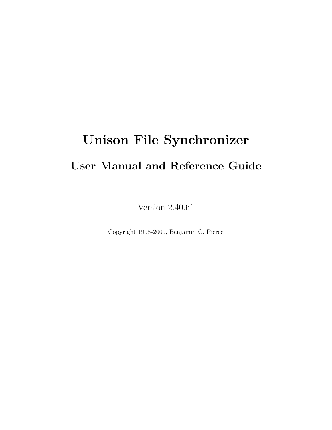# Unison File Synchronizer User Manual and Reference Guide

Version 2.40.61

Copyright 1998-2009, Benjamin C. Pierce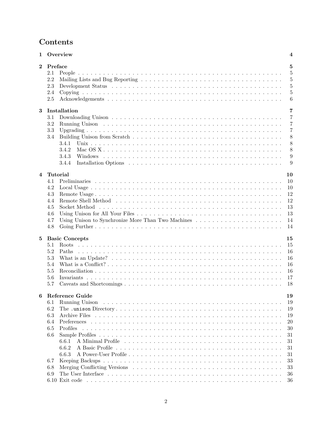# Contents

|              | 1 Overview<br>$\overline{\mathbf{4}}$ |                                                    |                |
|--------------|---------------------------------------|----------------------------------------------------|----------------|
| $\mathbf{2}$ | Preface                               |                                                    | 5              |
|              | 2.1                                   |                                                    | $\overline{5}$ |
|              | 2.2                                   |                                                    | $\overline{5}$ |
|              | 2.3                                   |                                                    | $\overline{5}$ |
|              | 2.4                                   |                                                    | $\overline{5}$ |
|              | 2.5                                   |                                                    | 6              |
|              |                                       |                                                    |                |
| 3            |                                       | Installation                                       | 7              |
|              | 3.1                                   |                                                    | $\overline{7}$ |
|              | 3.2                                   |                                                    | $\overline{7}$ |
|              | 3.3                                   |                                                    | 7              |
|              | 3.4                                   |                                                    | 8              |
|              |                                       | 3.4.1                                              | 8              |
|              |                                       | 3.4.2                                              | 8              |
|              |                                       |                                                    |                |
|              |                                       | 3.4.3                                              | 9              |
|              |                                       | 3.4.4                                              | 9              |
| 4            | <b>Tutorial</b>                       |                                                    | 10             |
|              | 4.1                                   |                                                    | 10             |
|              |                                       |                                                    |                |
|              | 4.2                                   |                                                    | 10             |
|              | 4.3                                   |                                                    | 12             |
|              | 4.4                                   |                                                    | 12             |
|              | 4.5                                   |                                                    | 13             |
|              | 4.6                                   |                                                    | 13             |
|              | 4.7                                   | Using Unison to Synchronize More Than Two Machines | 14             |
|              | 4.8                                   |                                                    | 14             |
| $\bf{5}$     |                                       | <b>Basic Concepts</b><br>15                        |                |
|              | 5.1                                   |                                                    | 15             |
|              | 5.2                                   |                                                    | 16             |
|              |                                       | Paths                                              |                |
|              | 5.3                                   |                                                    | 16             |
|              | 5.4                                   |                                                    | 16             |
|              | 5.5                                   |                                                    | 16             |
|              | 5.6                                   |                                                    | 17             |
|              | 5.7                                   |                                                    | 18             |
|              |                                       | 6 Reference Guide                                  | 19             |
|              | 6.1                                   | Running Unison                                     | 19             |
|              | 6.2                                   |                                                    |                |
|              |                                       |                                                    | 19             |
|              | 6.3                                   |                                                    | 19             |
|              | 6.4                                   |                                                    | <b>20</b>      |
|              | 6.5                                   | Profiles                                           | 30             |
|              | 6.6                                   |                                                    | 31             |
|              |                                       | 6.6.1                                              | 31             |
|              |                                       | 6.6.2                                              | 31             |
|              |                                       | 6.6.3                                              | 31             |
|              | 6.7                                   |                                                    | 33             |
|              | 6.8                                   |                                                    | 33             |
|              | 6.9                                   |                                                    | 36             |
|              |                                       |                                                    | 36             |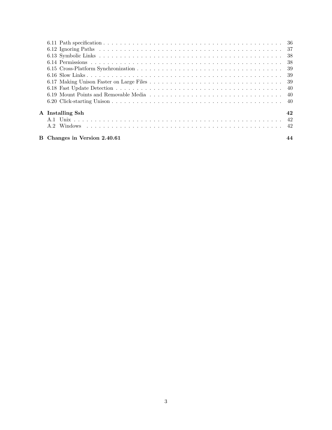| A Installing Ssh             | 42 |
|------------------------------|----|
|                              |    |
|                              |    |
| B Changes in Version 2.40.61 |    |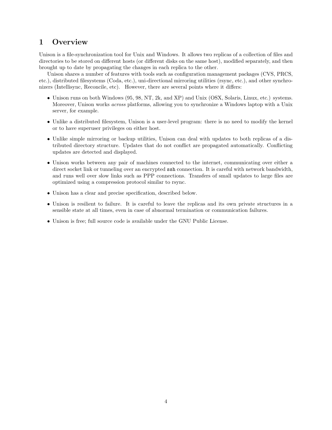# 1 Overview

Unison is a file-synchronization tool for Unix and Windows. It allows two replicas of a collection of files and directories to be stored on different hosts (or different disks on the same host), modified separately, and then brought up to date by propagating the changes in each replica to the other.

Unison shares a number of features with tools such as configuration management packages (CVS, PRCS, etc.), distributed filesystems (Coda, etc.), uni-directional mirroring utilities (rsync, etc.), and other synchronizers (Intellisync, Reconcile, etc). However, there are several points where it differs:

- Unison runs on both Windows (95, 98, NT, 2k, and XP) and Unix (OSX, Solaris, Linux, etc.) systems. Moreover, Unison works across platforms, allowing you to synchronize a Windows laptop with a Unix server, for example.
- Unlike a distributed filesystem, Unison is a user-level program: there is no need to modify the kernel or to have superuser privileges on either host.
- Unlike simple mirroring or backup utilities, Unison can deal with updates to both replicas of a distributed directory structure. Updates that do not conflict are propagated automatically. Conflicting updates are detected and displayed.
- Unison works between any pair of machines connected to the internet, communicating over either a direct socket link or tunneling over an encrypted ssh connection. It is careful with network bandwidth, and runs well over slow links such as PPP connections. Transfers of small updates to large files are optimized using a compression protocol similar to rsync.
- Unison has a clear and precise specification, described below.
- Unison is resilient to failure. It is careful to leave the replicas and its own private structures in a sensible state at all times, even in case of abnormal termination or communication failures.
- Unison is free; full source code is available under the GNU Public License.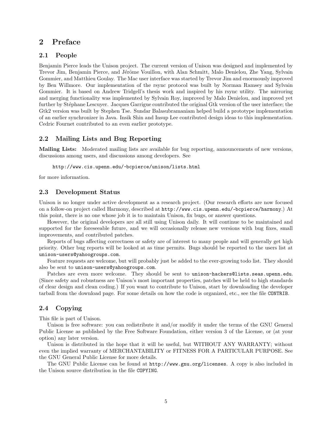# 2 Preface

# 2.1 People

Benjamin Pierce leads the Unison project. The current version of Unison was designed and implemented by Trevor Jim, Benjamin Pierce, and Jérôme Vouillon, with Alan Schmitt, Malo Denielou, Zhe Yang, Sylvain Gommier, and Matthieu Goulay. The Mac user interface was started by Trevor Jim and enormously improved by Ben Willmore. Our implementation of the rsync protocol was built by Norman Ramsey and Sylvain Gommier. It is based on Andrew Tridgell's thesis work and inspired by his rsync utility. The mirroring and merging functionality was implemented by Sylvain Roy, improved by Malo Denielou, and improved yet further by Stéphane Lescuyer. Jacques Garrigue contributed the original Gtk version of the user interface; the Gtk2 version was built by Stephen Tse. Sundar Balasubramaniam helped build a prototype implementation of an earlier synchronizer in Java. Insik Shin and Insup Lee contributed design ideas to this implementation. Cedric Fournet contributed to an even earlier prototype.

## 2.2 Mailing Lists and Bug Reporting

Mailing Lists: Moderated mailing lists are available for bug reporting, announcements of new versions, discussions among users, and discussions among developers. See

http://www.cis.upenn.edu/~ bcpierce/unison/lists.html

for more information.

#### 2.3 Development Status

Unison is no longer under active development as a research project. (Our research efforts are now focused on a follow-on project called Harmony, described at http://www.cis.upenn.edu/~ bcpierce/harmony.) At this point, there is no one whose job it is to maintain Unison, fix bugs, or answer questions.

However, the original developers are all still using Unison daily. It will continue to be maintained and supported for the foreseeable future, and we will occasionally release new versions with bug fixes, small improvements, and contributed patches.

Reports of bugs affecting correctness or safety are of interest to many people and will generally get high priority. Other bug reports will be looked at as time permits. Bugs should be reported to the users list at unison-users@yahoogroups.com.

Feature requests are welcome, but will probably just be added to the ever-growing todo list. They should also be sent to unison-users@yahoogroups.com.

Patches are even more welcome. They should be sent to unison-hackers@lists.seas.upenn.edu. (Since safety and robustness are Unison's most important properties, patches will be held to high standards of clear design and clean coding.) If you want to contribute to Unison, start by downloading the developer tarball from the download page. For some details on how the code is organized, etc., see the file CONTRIB.

# 2.4 Copying

This file is part of Unison.

Unison is free software: you can redistribute it and/or modify it under the terms of the GNU General Public License as published by the Free Software Foundation, either version 3 of the License, or (at your option) any later version.

Unison is distributed in the hope that it will be useful, but WITHOUT ANY WARRANTY; without even the implied warranty of MERCHANTABILITY or FITNESS FOR A PARTICULAR PURPOSE. See the GNU General Public License for more details.

The GNU Public License can be found at http://www.gnu.org/licenses. A copy is also included in the Unison source distribution in the file COPYING.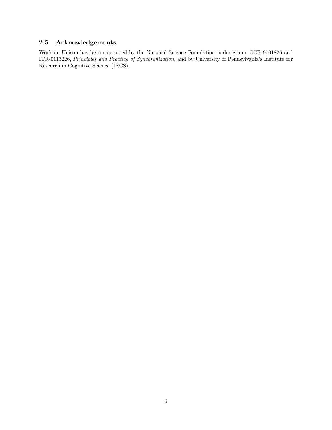# 2.5 Acknowledgements

Work on Unison has been supported by the National Science Foundation under grants CCR-9701826 and ITR-0113226, Principles and Practice of Synchronization, and by University of Pennsylvania's Institute for Research in Cognitive Science (IRCS).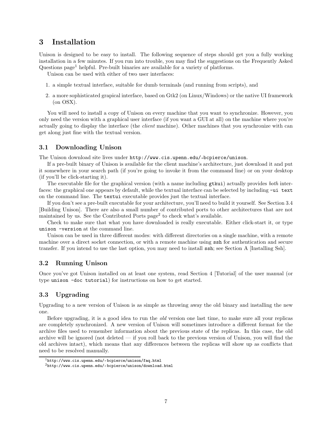# 3 Installation

Unison is designed to be easy to install. The following sequence of steps should get you a fully working installation in a few minutes. If you run into trouble, you may find the suggestions on the Frequently Asked Questions  $page<sup>1</sup>$  helpful. Pre-built binaries are available for a variety of platforms.

Unison can be used with either of two user interfaces:

- 1. a simple textual interface, suitable for dumb terminals (and running from scripts), and
- 2. a more sophisticated grapical interface, based on Gtk2 (on Linux/Windows) or the native UI framework (on OSX).

You will need to install a copy of Unison on every machine that you want to synchronize. However, you only need the version with a graphical user interface (if you want a GUI at all) on the machine where you're actually going to display the interface (the *client* machine). Other machines that you synchronize with can get along just fine with the textual version.

#### 3.1 Downloading Unison

The Unison download site lives under http://www.cis.upenn.edu/~ bcpierce/unison.

If a pre-built binary of Unison is available for the client machine's architecture, just download it and put it somewhere in your search path (if you're going to invoke it from the command line) or on your desktop (if you'll be click-starting it).

The executable file for the graphical version (with a name including **gtkui**) actually provides *both* interfaces: the graphical one appears by default, while the textual interface can be selected by including -ui text on the command line. The textui executable provides just the textual interface.

If you don't see a pre-built executable for your architecture, you'll need to build it yourself. See Section 3.4 [Building Unison]. There are also a small number of contributed ports to other architectures that are not maintained by us. See the Contributed Ports page<sup>2</sup> to check what's available.

Check to make sure that what you have downloaded is really executable. Either click-start it, or type unison -version at the command line.

Unison can be used in three different modes: with different directories on a single machine, with a remote machine over a direct socket connection, or with a remote machine using ssh for authentication and secure transfer. If you intend to use the last option, you may need to install ssh; see Section A [Installing Ssh].

# 3.2 Running Unison

Once you've got Unison installed on at least one system, read Section 4 [Tutorial] of the user manual (or type unison -doc tutorial) for instructions on how to get started.

# 3.3 Upgrading

Upgrading to a new version of Unison is as simple as throwing away the old binary and installing the new one.

Before upgrading, it is a good idea to run the old version one last time, to make sure all your replicas are completely synchronized. A new version of Unison will sometimes introduce a different format for the archive files used to remember information about the previous state of the replicas. In this case, the old archive will be ignored (not deleted  $-$  if you roll back to the previous version of Unison, you will find the old archives intact), which means that any differences between the replicas will show up as conflicts that need to be resolved manually.

<sup>1</sup>http://www.cis.upenn.edu/~ bcpierce/unison/faq.html

<sup>2</sup>http://www.cis.upenn.edu/~ bcpierce/unison/download.html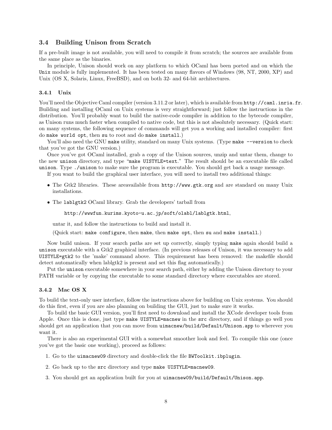#### 3.4 Building Unison from Scratch

If a pre-built image is not available, you will need to compile it from scratch; the sources are available from the same place as the binaries.

In principle, Unison should work on any platform to which OCaml has been ported and on which the Unix module is fully implemented. It has been tested on many flavors of Windows (98, NT, 2000, XP) and Unix (OS X, Solaris, Linux, FreeBSD), and on both 32- and 64-bit architectures.

#### 3.4.1 Unix

You'll need the Objective Caml compiler (version 3.11.2 or later), which is available from  $\text{http://cam.l.inria.fr.}$ Building and installing OCaml on Unix systems is very straightforward; just follow the instructions in the distribution. You'll probably want to build the native-code compiler in addition to the bytecode compiler, as Unison runs much faster when compiled to native code, but this is not absolutely necessary. (Quick start: on many systems, the following sequence of commands will get you a working and installed compiler: first do make world opt, then su to root and do make install.)

You'll also need the GNU make utility, standard on many Unix systems. (Type make --version to check that you've got the GNU version.)

Once you've got OCaml installed, grab a copy of the Unison sources, unzip and untar them, change to the new unison directory, and type "make UISTYLE=text." The result should be an executable file called unison. Type ./unison to make sure the program is executable. You should get back a usage message.

If you want to build the graphical user interface, you will need to install two additional things:

- The Gtk2 libraries. These areavailable from  $http://www.getk.org$  and are standard on many Unix installations.
- The lablgtk2 OCaml library. Grab the developers' tarball from

#### http://wwwfun.kurims.kyoto-u.ac.jp/soft/olabl/lablgtk.html,

untar it, and follow the instructions to build and install it.

(Quick start: make configure, then make, then make opt, then su and make install.)

Now build unison. If your search paths are set up correctly, simply typing make again should build a unison executable with a Gtk2 graphical interface. (In previous releases of Unison, it was necessary to add UISTYLE=gtk2 to the 'make' command above. This requirement has been removed: the makefile should detect automatically when lablgtk2 is present and set this flag automatically.)

Put the unison executable somewhere in your search path, either by adding the Unison directory to your PATH variable or by copying the executable to some standard directory where executables are stored.

#### 3.4.2 Mac OS X

To build the text-only user interface, follow the instructions above for building on Unix systems. You should do this first, even if you are also planning on building the GUI, just to make sure it works.

To build the basic GUI version, you'll first need to download and install the XCode developer tools from Apple. Once this is done, just type make UISTYLE=macnew in the src directory, and if things go well you should get an application that you can move from uimacnew/build/Default/Unison.app to wherever you want it.

There is also an experimental GUI with a somewhat smoother look and feel. To compile this one (once you've got the basic one working), proceed as follows:

- 1. Go to the uimacnew09 directory and double-click the file BWToolkit.ibplugin.
- 2. Go back up to the src directory and type make UISTYLE=macnew09.
- 3. You should get an application built for you at uimacnew09/build/Default/Unison.app.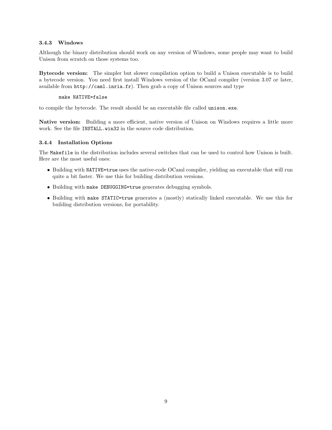#### 3.4.3 Windows

Although the binary distribution should work on any version of Windows, some people may want to build Unison from scratch on those systems too.

Bytecode version: The simpler but slower compilation option to build a Unison executable is to build a bytecode version. You need first install Windows version of the OCaml compiler (version 3.07 or later, available from http://caml.inria.fr). Then grab a copy of Unison sources and type

#### make NATIVE=false

to compile the bytecode. The result should be an executable file called unison.exe.

Native version: Building a more efficient, native version of Unison on Windows requires a little more work. See the file INSTALL.win32 in the source code distribution.

#### 3.4.4 Installation Options

The Makefile in the distribution includes several switches that can be used to control how Unison is built. Here are the most useful ones:

- Building with NATIVE=true uses the native-code OCaml compiler, yielding an executable that will run quite a bit faster. We use this for building distribution versions.
- Building with make DEBUGGING=true generates debugging symbols.
- Building with make STATIC=true generates a (mostly) statically linked executable. We use this for building distribution versions, for portability.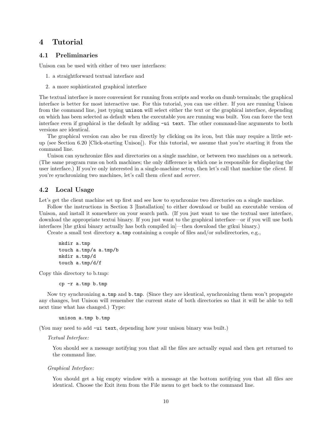# 4 Tutorial

# 4.1 Preliminaries

Unison can be used with either of two user interfaces:

- 1. a straightforward textual interface and
- 2. a more sophisticated graphical interface

The textual interface is more convenient for running from scripts and works on dumb terminals; the graphical interface is better for most interactive use. For this tutorial, you can use either. If you are running Unison from the command line, just typing unison will select either the text or the graphical interface, depending on which has been selected as default when the executable you are running was built. You can force the text interface even if graphical is the default by adding -ui text. The other command-line arguments to both versions are identical.

The graphical version can also be run directly by clicking on its icon, but this may require a little setup (see Section 6.20 [Click-starting Unison]). For this tutorial, we assume that you're starting it from the command line.

Unison can synchronize files and directories on a single machine, or between two machines on a network. (The same program runs on both machines; the only difference is which one is responsible for displaying the user interface.) If you're only interested in a single-machine setup, then let's call that machine the *client*. If you're synchronizing two machines, let's call them client and server.

# 4.2 Local Usage

Let's get the client machine set up first and see how to synchronize two directories on a single machine.

Follow the instructions in Section 3 [Installation] to either download or build an executable version of Unison, and install it somewhere on your search path. (If you just want to use the textual user interface, download the appropriate textui binary. If you just want to the graphical interface—or if you will use both interfaces [the gtkui binary actually has both compiled in]—then download the gtkui binary.)

Create a small test directory a.tmp containing a couple of files and/or subdirectories, e.g.,

```
mkdir a.tmp
touch a.tmp/a a.tmp/b
mkdir a.tmp/d
touch a.tmp/d/f
```
Copy this directory to b.tmp:

cp -r a.tmp b.tmp

Now try synchronizing a.tmp and b.tmp. (Since they are identical, synchronizing them won't propagate any changes, but Unison will remember the current state of both directories so that it will be able to tell next time what has changed.) Type:

```
unison a.tmp b.tmp
```
(You may need to add -ui text, depending how your unison binary was built.)

Textual Interface:

You should see a message notifying you that all the files are actually equal and then get returned to the command line.

#### Graphical Interface:

You should get a big empty window with a message at the bottom notifying you that all files are identical. Choose the Exit item from the File menu to get back to the command line.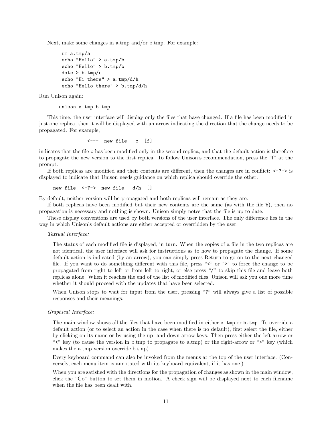Next, make some changes in a.tmp and/or b.tmp. For example:

```
rm a.tmp/a
echo "Hello" > a.tmp/b
echo "Hello" > b.tmp/b
date > b . \text{tmp}/cecho "Hi there" > a.tmp/d/h
echo "Hello there" > b.tmp/d/h
```
Run Unison again:

unison a.tmp b.tmp

This time, the user interface will display only the files that have changed. If a file has been modified in just one replica, then it will be displayed with an arrow indicating the direction that the change needs to be propagated. For example,

<--- new file c [f]

indicates that the file c has been modified only in the second replica, and that the default action is therefore to propagate the new version to the first replica. To follow Unison's recommendation, press the "f" at the prompt.

If both replicas are modified and their contents are different, then the changes are in conflict:  $\langle -\rangle$  is displayed to indicate that Unison needs guidance on which replica should override the other.

```
new file <-?-> new file d/h []
```
By default, neither version will be propagated and both replicas will remain as they are.

If both replicas have been modified but their new contents are the same (as with the file b), then no propagation is necessary and nothing is shown. Unison simply notes that the file is up to date.

These display conventions are used by both versions of the user interface. The only difference lies in the way in which Unison's default actions are either accepted or overridden by the user.

#### Textual Interface:

The status of each modified file is displayed, in turn. When the copies of a file in the two replicas are not identical, the user interface will ask for instructions as to how to propagate the change. If some default action is indicated (by an arrow), you can simply press Return to go on to the next changed file. If you want to do something different with this file, press " $\zeta$ " or ">" to force the change to be propagated from right to left or from left to right, or else press "/" to skip this file and leave both replicas alone. When it reaches the end of the list of modified files, Unison will ask you one more time whether it should proceed with the updates that have been selected.

When Unison stops to wait for input from the user, pressing "?" will always give a list of possible responses and their meanings.

#### Graphical Interface:

The main window shows all the files that have been modified in either a.tmp or b.tmp. To override a default action (or to select an action in the case when there is no default), first select the file, either by clicking on its name or by using the up- and down-arrow keys. Then press either the left-arrow or "">" key (to cause the version in b.tmp to propagate to a.tmp) or the right-arrow or " $\geq$ " key (which makes the a.tmp version override b.tmp).

Every keyboard command can also be invoked from the menus at the top of the user interface. (Conversely, each menu item is annotated with its keyboard equivalent, if it has one.)

When you are satisfied with the directions for the propagation of changes as shown in the main window, click the "Go" button to set them in motion. A check sign will be displayed next to each filename when the file has been dealt with.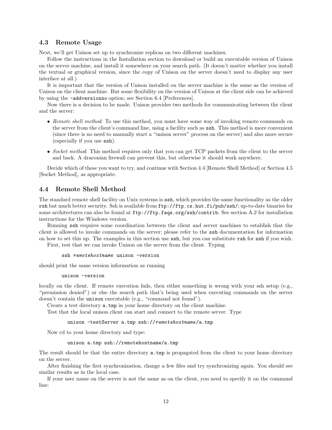#### 4.3 Remote Usage

Next, we'll get Unison set up to synchronize replicas on two different machines.

Follow the instructions in the Installation section to download or build an executable version of Unison on the server machine, and install it somewhere on your search path. (It doesn't matter whether you install the textual or graphical version, since the copy of Unison on the server doesn't need to display any user interface at all.)

It is important that the version of Unison installed on the server machine is the same as the version of Unison on the client machine. But some flexibility on the version of Unison at the client side can be achieved by using the -addversionno option; see Section 6.4 [Preferences].

Now there is a decision to be made. Unison provides two methods for communicating between the client and the server:

- Remote shell method: To use this method, you must have some way of invoking remote commands on the server from the client's command line, using a facility such as ssh. This method is more convenient (since there is no need to manually start a "unison server" process on the server) and also more secure (especially if you use ssh).
- Socket method: This method requires only that you can get TCP packets from the client to the server and back. A draconian firewall can prevent this, but otherwise it should work anywhere.

Decide which of these you want to try, and continue with Section 4.4 [Remote Shell Method] or Section 4.5 [Socket Method], as appropriate.

# 4.4 Remote Shell Method

The standard remote shell facility on Unix systems is ssh, which provides the same functionality as the older rsh but much better security. Ssh is available from ftp://ftp.cs.hut.fi/pub/ssh/; up-to-date binaries for some architectures can also be found at ftp://ftp.faqs.org/ssh/contrib. See section A.2 for installation instructions for the Windows version.

Running ssh requires some coordination between the client and server machines to establish that the client is allowed to invoke commands on the server; please refer to the ssh documentation for information on how to set this up. The examples in this section use ssh, but you can substitute rsh for ssh if you wish.

First, test that we can invoke Unison on the server from the client. Typing

```
ssh remotehostname unison -version
```
should print the same version information as running

```
unison -version
```
locally on the client. If remote execution fails, then either something is wrong with your ssh setup (e.g., "permission denied") or else the search path that's being used when executing commands on the server doesn't contain the unison executable (e.g., "command not found").

Create a test directory a.tmp in your home directory on the client machine.

Test that the local unison client can start and connect to the remote server. Type

unison -testServer a.tmp ssh://remotehostname/a.tmp

Now cd to your home directory and type:

```
unison a.tmp ssh://remotehostname/a.tmp
```
The result should be that the entire directory a.tmp is propagated from the client to your home directory on the server.

After finishing the first synchronization, change a few files and try synchronizing again. You should see similar results as in the local case.

If your user name on the server is not the same as on the client, you need to specify it on the command line: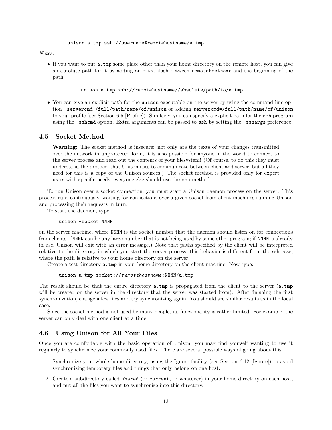#### Notes:

• If you want to put a.tmp some place other than your home directory on the remote host, you can give an absolute path for it by adding an extra slash between remotehostname and the beginning of the path:

unison a.tmp ssh://remotehostname//absolute/path/to/a.tmp

• You can give an explicit path for the unison executable on the server by using the command-line option -servercmd /full/path/name/of/unison or adding servercmd=/full/path/name/of/unison to your profile (see Section 6.5 [Profile]). Similarly, you can specify a explicit path for the ssh program using the -sshcmd option. Extra arguments can be passed to ssh by setting the -sshargs preference.

# 4.5 Socket Method

Warning: The socket method is insecure: not only are the texts of your changes transmitted over the network in unprotected form, it is also possible for anyone in the world to connect to the server process and read out the contents of your filesystem! (Of course, to do this they must understand the protocol that Unison uses to communicate between client and server, but all they need for this is a copy of the Unison sources.) The socket method is provided only for expert users with specific needs; everyone else should use the ssh method.

To run Unison over a socket connection, you must start a Unison daemon process on the server. This process runs continuously, waiting for connections over a given socket from client machines running Unison and processing their requests in turn.

To start the daemon, type

unison -socket NNNN

on the server machine, where NNNN is the socket number that the daemon should listen on for connections from clients. (NNNN can be any large number that is not being used by some other program; if NNNN is already in use, Unison will exit with an error message.) Note that paths specified by the client will be interpreted relative to the directory in which you start the server process; this behavior is different from the ssh case, where the path is relative to your home directory on the server.

Create a test directory a.tmp in your home directory on the client machine. Now type:

unison a.tmp socket://remotehostname:NNNN/a.tmp

The result should be that the entire directory a.tmp is propagated from the client to the server (a.tmp will be created on the server in the directory that the server was started from). After finishing the first synchronization, change a few files and try synchronizing again. You should see similar results as in the local case.

Since the socket method is not used by many people, its functionality is rather limited. For example, the server can only deal with one client at a time.

## 4.6 Using Unison for All Your Files

Once you are comfortable with the basic operation of Unison, you may find yourself wanting to use it regularly to synchronize your commonly used files. There are several possible ways of going about this:

- 1. Synchronize your whole home directory, using the Ignore facility (see Section 6.12 [Ignore]) to avoid synchronizing temporary files and things that only belong on one host.
- 2. Create a subdirectory called shared (or current, or whatever) in your home directory on each host, and put all the files you want to synchronize into this directory.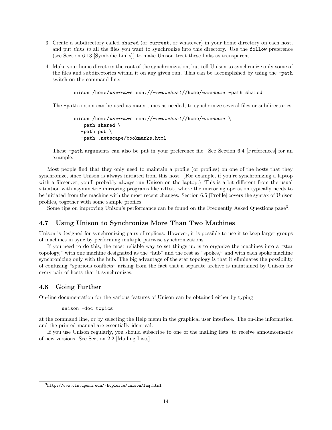- 3. Create a subdirectory called shared (or current, or whatever) in your home directory on each host, and put *links to* all the files you want to synchronize into this directory. Use the follow preference (see Section 6.13 [Symbolic Links]) to make Unison treat these links as transparent.
- 4. Make your home directory the root of the synchronization, but tell Unison to synchronize only some of the files and subdirectories within it on any given run. This can be accomplished by using the -path switch on the command line:

unison /home/username ssh://remotehost//home/username -path shared

The -path option can be used as many times as needed, to synchronize several files or subdirectories:

```
unison /home/username ssh://remotehost//home/username \
   -path shared \
   -path pub \
   -path .netscape/bookmarks.html
```
These -path arguments can also be put in your preference file. See Section 6.4 [Preferences] for an example.

Most people find that they only need to maintain a profile (or profiles) on one of the hosts that they synchronize, since Unison is always initiated from this host. (For example, if you're synchronizing a laptop with a fileserver, you'll probably always run Unison on the laptop.) This is a bit different from the usual situation with asymmetric mirroring programs like rdist, where the mirroring operation typically needs to be initiated from the machine with the most recent changes. Section 6.5 [Profile] covers the syntax of Unison profiles, together with some sample profiles.

Some tips on improving Unison's performance can be found on the Frequently Asked Questions page<sup>3</sup>.

## 4.7 Using Unison to Synchronize More Than Two Machines

Unison is designed for synchronizing pairs of replicas. However, it is possible to use it to keep larger groups of machines in sync by performing multiple pairwise synchronizations.

If you need to do this, the most reliable way to set things up is to organize the machines into a "star topology," with one machine designated as the "hub" and the rest as "spokes," and with each spoke machine synchronizing only with the hub. The big advantage of the star topology is that it eliminates the possibility of confusing "spurious conflicts" arising from the fact that a separate archive is maintained by Unison for every pair of hosts that it synchronizes.

# 4.8 Going Further

On-line documentation for the various features of Unison can be obtained either by typing

unison -doc topics

at the command line, or by selecting the Help menu in the graphical user interface. The on-line information and the printed manual are essentially identical.

If you use Unison regularly, you should subscribe to one of the mailing lists, to receive announcements of new versions. See Section 2.2 [Mailing Lists].

 $^3$ http://www.cis.upenn.edu/~bcpierce/unison/faq.html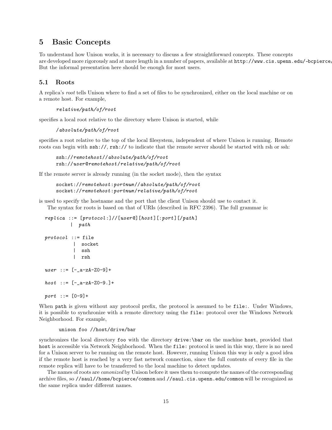# 5 Basic Concepts

To understand how Unison works, it is necessary to discuss a few straightforward concepts. These concepts are developed more rigorously and at more length in a number of papers, available at  ${\tt http://www.cis.upenn.edu/~bepiere.com/}$ But the informal presentation here should be enough for most users.

# 5.1 Roots

A replica's root tells Unison where to find a set of files to be synchronized, either on the local machine or on a remote host. For example,

```
relative/path/of/root
```
specifies a local root relative to the directory where Unison is started, while

```
/absolute/path/of/root
```
specifies a root relative to the top of the local filesystem, independent of where Unison is running. Remote roots can begin with  $\sin\frac{1}{1}$ ,  $\sin\frac{1}{1}$  to indicate that the remote server should be started with rsh or ssh:

```
ssh://remotehost//absolute/path/of/root
rsh://user@remotehost/relative/path/of/root
```
If the remote server is already running (in the socket mode), then the syntax

```
socket://remotehost:portnum //absolute/path/of/root
socket://remotehost:portnum /relative/path/of/root
```
is used to specify the hostname and the port that the client Unison should use to contact it. The syntax for roots is based on that of URIs (described in RFC 2396). The full grammar is:

```
replica ::= [protocol:]//[user@][host][:port][/path]| path
protocol :: = file| socket
         | ssh
         | rsh
user : := [-a-zA-Z0-9] +host : := [-a-zA-Z0-9.]+port ::= [0-9]+
```
When path is given without any protocol prefix, the protocol is assumed to be file:. Under Windows, it is possible to synchronize with a remote directory using the file: protocol over the Windows Network Neighborhood. For example,

#### unison foo //host/drive/bar

synchronizes the local directory foo with the directory drive:\bar on the machine host, provided that host is accessible via Network Neighborhood. When the file: protocol is used in this way, there is no need for a Unison server to be running on the remote host. However, running Unison this way is only a good idea if the remote host is reached by a very fast network connection, since the full contents of every file in the remote replica will have to be transferred to the local machine to detect updates.

The names of roots are canonized by Unison before it uses them to compute the names of the corresponding archive files, so //saul//home/bcpierce/common and //saul.cis.upenn.edu/common will be recognized as the same replica under different names.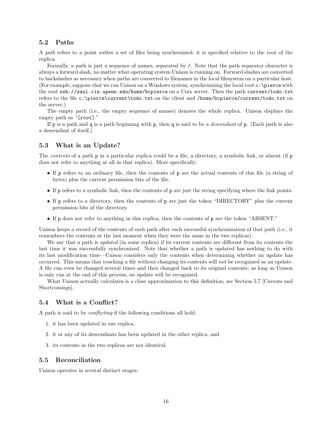# 5.2 Paths

A path refers to a point within a set of files being synchronized; it is specified relative to the root of the replica.

Formally, a path is just a sequence of names, separated by /. Note that the path separator character is always a forward slash, no matter what operating system Unison is running on. Forward slashes are converted to backslashes as necessary when paths are converted to filenames in the local filesystem on a particular host. (For example, suppose that we run Unison on a Windows system, synchronizing the local root  $c:\preccurlyeq$  with the root ssh://saul.cis.upenn.edu/home/bcpierce on a Unix server. Then the path current/todo.txt refers to the file c:\pierce\current\todo.txt on the client and /home/bcpierce/current/todo.txt on the server.)

The empty path (i.e., the empty sequence of names) denotes the whole replica. Unison displays the empty path as "[root]."

If p is a path and q is a path beginning with p, then q is said to be a *descendant* of p. (Each path is also a descendant of itself.)

## 5.3 What is an Update?

The *contents* of a path **p** in a particular replica could be a file, a directory, a symbolic link, or absent (if **p** does not refer to anything at all in that replica). More specifically:

- If p refers to an ordinary file, then the contents of p are the actual contents of this file (a string of bytes) plus the current permission bits of the file.
- If p refers to a symbolic link, then the contents of p are just the string specifying where the link points.
- If p refers to a directory, then the contents of p are just the token "DIRECTORY" plus the current permission bits of the directory.
- If p does not refer to anything in this replica, then the contents of p are the token "ABSENT."

Unison keeps a record of the contents of each path after each successful synchronization of that path (i.e., it remembers the contents at the last moment when they were the same in the two replicas).

We say that a path is *updated* (in some replica) if its current contents are different from its contents the last time it was successfully synchronized. Note that whether a path is updated has nothing to do with its last modification time—Unison considers only the contents when determining whether an update has occurred. This means that touching a file without changing its contents will not be recognized as an update. A file can even be changed several times and then changed back to its original contents; as long as Unison is only run at the end of this process, no update will be recognized.

What Unison actually calculates is a close approximation to this definition; see Section 5.7 [Caveats and Shortcomings].

#### 5.4 What is a Conflict?

A path is said to be conflicting if the following conditions all hold:

- 1. it has been updated in one replica,
- 2. it or any of its descendants has been updated in the other replica, and
- 3. its contents in the two replicas are not identical.

#### 5.5 Reconciliation

Unison operates in several distinct stages: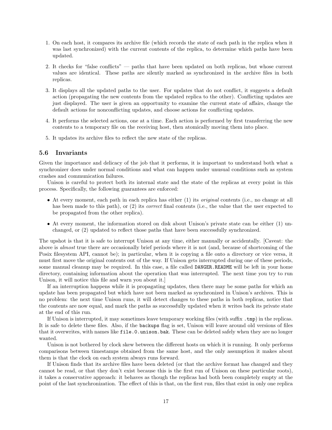- 1. On each host, it compares its archive file (which records the state of each path in the replica when it was last synchronized) with the current contents of the replica, to determine which paths have been updated.
- 2. It checks for "false conflicts" paths that have been updated on both replicas, but whose current values are identical. These paths are silently marked as synchronized in the archive files in both replicas.
- 3. It displays all the updated paths to the user. For updates that do not conflict, it suggests a default action (propagating the new contents from the updated replica to the other). Conflicting updates are just displayed. The user is given an opportunity to examine the current state of affairs, change the default actions for nonconflicting updates, and choose actions for conflicting updates.
- 4. It performs the selected actions, one at a time. Each action is performed by first transferring the new contents to a temporary file on the receiving host, then atomically moving them into place.
- 5. It updates its archive files to reflect the new state of the replicas.

#### 5.6 Invariants

Given the importance and delicacy of the job that it performs, it is important to understand both what a synchronizer does under normal conditions and what can happen under unusual conditions such as system crashes and communication failures.

Unison is careful to protect both its internal state and the state of the replicas at every point in this process. Specifically, the following guarantees are enforced:

- At every moment, each path in each replica has either (1) its *original* contents (i.e., no change at all has been made to this path), or (2) its *correct* final contents (i.e., the value that the user expected to be propagated from the other replica).
- At every moment, the information stored on disk about Unison's private state can be either (1) unchanged, or (2) updated to reflect those paths that have been successfully synchronized.

The upshot is that it is safe to interrupt Unison at any time, either manually or accidentally. [Caveat: the above is almost true there are occasionally brief periods where it is not (and, because of shortcoming of the Posix filesystem API, cannot be); in particular, when it is copying a file onto a directory or vice versa, it must first move the original contents out of the way. If Unison gets interrupted during one of these periods, some manual cleanup may be required. In this case, a file called DANGER.README will be left in your home directory, containing information about the operation that was interrupted. The next time you try to run Unison, it will notice this file and warn you about it.]

If an interruption happens while it is propagating updates, then there may be some paths for which an update has been propagated but which have not been marked as synchronized in Unison's archives. This is no problem: the next time Unison runs, it will detect changes to these paths in both replicas, notice that the contents are now equal, and mark the paths as successfully updated when it writes back its private state at the end of this run.

If Unison is interrupted, it may sometimes leave temporary working files (with suffix .tmp) in the replicas. It is safe to delete these files. Also, if the backups flag is set, Unison will leave around old versions of files that it overwrites, with names like file.0.unison.bak. These can be deleted safely when they are no longer wanted.

Unison is not bothered by clock skew between the different hosts on which it is running. It only performs comparisons between timestamps obtained from the same host, and the only assumption it makes about them is that the clock on each system always runs forward.

If Unison finds that its archive files have been deleted (or that the archive format has changed and they cannot be read, or that they don't exist because this is the first run of Unison on these particular roots), it takes a conservative approach: it behaves as though the replicas had both been completely empty at the point of the last synchronization. The effect of this is that, on the first run, files that exist in only one replica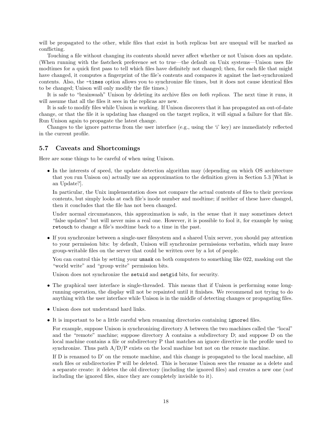will be propagated to the other, while files that exist in both replicas but are unequal will be marked as conflicting.

Touching a file without changing its contents should never affect whether or not Unison does an update. (When running with the fastcheck preference set to true—the default on Unix systems—Unison uses file modtimes for a quick first pass to tell which files have definitely not changed; then, for each file that might have changed, it computes a fingerprint of the file's contents and compares it against the last-synchronized contents. Also, the -times option allows you to synchronize file times, but it does not cause identical files to be changed; Unison will only modify the file times.)

It is safe to "brainwash" Unison by deleting its archive files on both replicas. The next time it runs, it will assume that all the files it sees in the replicas are new.

It is safe to modify files while Unison is working. If Unison discovers that it has propagated an out-of-date change, or that the file it is updating has changed on the target replica, it will signal a failure for that file. Run Unison again to propagate the latest change.

Changes to the ignore patterns from the user interface (e.g., using the 'i' key) are immediately reflected in the current profile.

#### 5.7 Caveats and Shortcomings

Here are some things to be careful of when using Unison.

• In the interests of speed, the update detection algorithm may (depending on which OS architecture that you run Unison on) actually use an approximation to the definition given in Section 5.3 [What is an Update?].

In particular, the Unix implementation does not compare the actual contents of files to their previous contents, but simply looks at each file's inode number and modtime; if neither of these have changed, then it concludes that the file has not been changed.

Under normal circumstances, this approximation is safe, in the sense that it may sometimes detect "false updates" but will never miss a real one. However, it is possible to fool it, for example by using retouch to change a file's modtime back to a time in the past.

• If you synchronize between a single-user filesystem and a shared Unix server, you should pay attention to your permission bits: by default, Unison will synchronize permissions verbatim, which may leave group-writable files on the server that could be written over by a lot of people.

You can control this by setting your umask on both computers to something like 022, masking out the "world write" and "group write" permission bits.

Unison does not synchronize the setuid and setgid bits, for security.

- The graphical user interface is single-threaded. This means that if Unison is performing some longrunning operation, the display will not be repainted until it finishes. We recommend not trying to do anything with the user interface while Unison is in the middle of detecting changes or propagating files.
- Unison does not understand hard links.
- It is important to be a little careful when renaming directories containing ignored files.

For example, suppose Unison is synchronizing directory A between the two machines called the "local" and the "remote" machine; suppose directory A contains a subdirectory D; and suppose D on the local machine contains a file or subdirectory P that matches an ignore directive in the profile used to synchronize. Thus path  $A/D/P$  exists on the local machine but not on the remote machine.

If D is renamed to D' on the remote machine, and this change is propagated to the local machine, all such files or subdirectories P will be deleted. This is because Unison sees the rename as a delete and a separate create: it deletes the old directory (including the ignored files) and creates a new one (not including the ignored files, since they are completely invisible to it).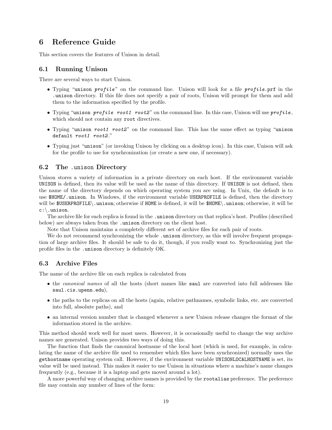# 6 Reference Guide

This section covers the features of Unison in detail.

#### 6.1 Running Unison

There are several ways to start Unison.

- Typing "unison profile" on the command line. Unison will look for a file profile.prf in the .unison directory. If this file does not specify a pair of roots, Unison will prompt for them and add them to the information specified by the profile.
- Typing "unison profile root1 root2" on the command line. In this case, Unison will use  $profile$ , which should not contain any root directives.
- Typing "unison root1 root2" on the command line. This has the same effect as typing "unison" default root1 root2."
- Typing just "unison" (or invoking Unison by clicking on a desktop icon). In this case, Unison will ask for the profile to use for synchronization (or create a new one, if necessary).

# 6.2 The .unison Directory

Unison stores a variety of information in a private directory on each host. If the environment variable UNISON is defined, then its value will be used as the name of this directory. If UNISON is not defined, then the name of the directory depends on which operating system you are using. In Unix, the default is to use \$HOME/.unison. In Windows, if the environment variable USERPROFILE is defined, then the directory will be \$USERPROFILE\.unison; otherwise if HOME is defined, it will be \$HOME\.unison; otherwise, it will be c:\.unison.

The archive file for each replica is found in the .unison directory on that replica's host. Profiles (described below) are always taken from the .unison directory on the client host.

Note that Unison maintains a completely different set of archive files for each pair of roots.

We do not recommend synchronizing the whole . unison directory, as this will involve frequent propagation of large archive files. It should be safe to do it, though, if you really want to. Synchronizing just the profile files in the .unison directory is definitely OK.

## 6.3 Archive Files

The name of the archive file on each replica is calculated from

- the *canonical names* of all the hosts (short names like saul are converted into full addresses like saul.cis.upenn.edu),
- the paths to the replicas on all the hosts (again, relative pathnames, symbolic links, etc. are converted into full, absolute paths), and
- an internal version number that is changed whenever a new Unison release changes the format of the information stored in the archive.

This method should work well for most users. However, it is occasionally useful to change the way archive names are generated. Unison provides two ways of doing this.

The function that finds the canonical hostname of the local host (which is used, for example, in calculating the name of the archive file used to remember which files have been synchronized) normally uses the gethostname operating system call. However, if the environment variable UNISONLOCALHOSTNAME is set, its value will be used instead. This makes it easier to use Unison in situations where a machine's name changes frequently (e.g., because it is a laptop and gets moved around a lot).

A more powerful way of changing archive names is provided by the rootalias preference. The preference file may contain any number of lines of the form: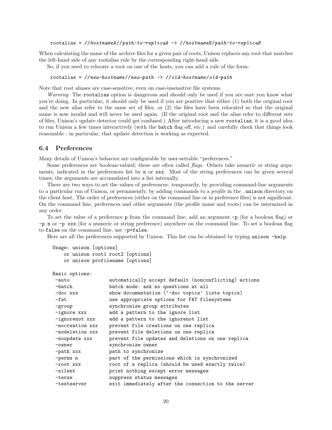rootalias =  $//hostnameA//path-to-replicaA$  ->  $//hostnameB/path-to-replicaB$ 

When calculating the name of the archive files for a given pair of roots, Unison replaces any root that matches the left-hand side of any rootalias rule by the corresponding right-hand side.

So, if you need to relocate a root on one of the hosts, you can add a rule of the form:

```
rootalias = //new-hostname//new-path -> //old-hostname/old-path
```
Note that root aliases are case-sensitive, even on case-insensitive file systems.

Warning: The rootalias option is dangerous and should only be used if you are sure you know what you're doing. In particular, it should only be used if you are positive that either (1) both the original root and the new alias refer to the same set of files, or (2) the files have been relocated so that the original name is now invalid and will never be used again. (If the original root and the alias refer to different sets of files, Unison's update detector could get confused.) After introducing a new rootalias, it is a good idea to run Unison a few times interactively (with the batch flag off, etc.) and carefully check that things look reasonable—in particular, that update detection is working as expected.

#### 6.4 Preferences

Many details of Unison's behavior are configurable by user-settable "preferences."

Some preferences are boolean-valued; these are often called *flags*. Others take numeric or string arguments, indicated in the preferences list by n or xxx. Most of the string preferences can be given several times; the arguments are accumulated into a list internally.

There are two ways to set the values of preferences: temporarily, by providing command-line arguments to a particular run of Unison, or permanently, by adding commands to a *profile* in the .unison directory on the client host. The order of preferences (either on the command line or in preference files) is not significant. On the command line, preferences and other arguments (the profile name and roots) can be intermixed in any order.

To set the value of a preference p from the command line, add an argument -p (for a boolean flag) or -p n or -p xxx (for a numeric or string preference) anywhere on the command line. To set a boolean flag to false on the command line, use -p=false.

Here are all the preferences supported by Unison. This list can be obtained by typing unison -help.

```
Usage: unison [options]
    or unison root1 root2 [options]
    or unison profilename [options]
```

```
Basic options:
```

| $-$ auto        | automatically accept default (nonconflicting) actions |
|-----------------|-------------------------------------------------------|
| -batch          | batch mode: ask no questions at all                   |
| -doc xxx        | show documentation ('-doc topics' lists topics)       |
| -fat            | use appropriate options for FAT filesystems           |
| -group          | synchronize group attributes                          |
| -ignore xxx     | add a pattern to the ignore list                      |
| -ignorenot xxx  | add a pattern to the ignorenot list                   |
| -nocreation xxx | prevent file creations on one replica                 |
| -nodeletion xxx | prevent file deletions on one replica                 |
| -noupdate xxx   | prevent file updates and deletions on one replica     |
| -owner          | synchronize owner                                     |
| -path xxx       | path to synchronize                                   |
| -perms n        | part of the permissions which is synchronized         |
| -root xxx       | root of a replica (should be used exactly twice)      |
| -silent         | print nothing except error messages                   |
| -terse          | suppress status messages                              |
| -testserver     | exit immediately after the connection to the server   |
|                 |                                                       |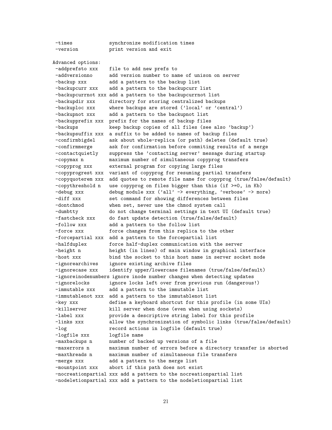-times synchronize modification times -version print version and exit Advanced options: -addprefsto xxx file to add new prefs to -addversionno add version number to name of unison on server -backup xxx add a pattern to the backup list -backupcurr xxx add a pattern to the backupcurr list -backupcurrnot xxx add a pattern to the backupcurrnot list -backupdir xxx directory for storing centralized backups -backuploc xxx where backups are stored ('local' or 'central') -backupnot xxx add a pattern to the backupnot list -backupprefix xxx prefix for the names of backup files -backups keep backup copies of all files (see also 'backup') -backupsuffix xxx a suffix to be added to names of backup files -confirmbigdel ask about whole-replica (or path) deletes (default true) -confirmmerge ask for confirmation before commiting results of a merge -contactquietly suppress the 'contacting server' message during startup -copymax n maximum number of simultaneous copyprog transfers -copyprog xxx external program for copying large files -copyprogrest xxx variant of copyprog for resuming partial transfers -copyquoterem xxx add quotes to remote file name for copyprog (true/false/default) -copythreshold n use copyprog on files bigger than this (if >=0, in Kb) -debug xxx debug module xxx ('all' -> everything, 'verbose' -> more) -diff xxx set command for showing differences between files -dontchmod when set, never use the chmod system call -dumbtty do not change terminal settings in text UI (default true) -fastcheck xxx do fast update detection (true/false/default) -follow xxx add a pattern to the follow list -force xxx force changes from this replica to the other -forcepartial xxx add a pattern to the forcepartial list -halfduplex force half-duplex communication with the server -height n height (in lines) of main window in graphical interface -host xxx bind the socket to this host name in server socket mode -ignorearchives ignore existing archive files -ignorecase xxx identify upper/lowercase filenames (true/false/default) -ignoreinodenumbers ignore inode number changes when detecting updates -ignorelocks ignore locks left over from previous run (dangerous!) -immutable xxx add a pattern to the immutable list -immutablenot xxx add a pattern to the immutablenot list -key xxx define a keyboard shortcut for this profile (in some UIs) -killserver **kill server when done (even when using sockets)** -label xxx provide a descriptive string label for this profile -links xxx allow the synchronization of symbolic links (true/false/default) -log **record actions in logfile (default true)** -logfile xxx logfile name -maxbackups n number of backed up versions of a file -maxerrors n maximum number of errors before a directory transfer is aborted -maxthreads n maximum number of simultaneous file transfers -merge xxx add a pattern to the merge list -mountpoint xxx abort if this path does not exist -nocreationpartial xxx add a pattern to the nocreationpartial list -nodeletionpartial xxx add a pattern to the nodeletionpartial list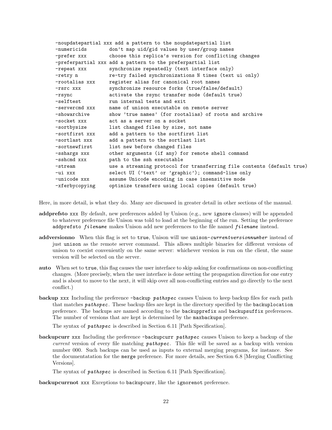| -noupdatepartial xxx add a pattern to the noupdatepartial list |                                                                        |  |  |  |  |
|----------------------------------------------------------------|------------------------------------------------------------------------|--|--|--|--|
| -numericids                                                    | don't map uid/gid values by user/group names                           |  |  |  |  |
| -prefer xxx                                                    | choose this replica's version for conflicting changes                  |  |  |  |  |
|                                                                | -preferpartial xxx add a pattern to the preferpartial list             |  |  |  |  |
| -repeat xxx                                                    | synchronize repeatedly (text interface only)                           |  |  |  |  |
| -retry n                                                       | re-try failed synchronizations N times (text ui only)                  |  |  |  |  |
| -rootalias xxx                                                 | register alias for canonical root names                                |  |  |  |  |
| -rsrc xxx                                                      | synchronize resource forks (true/false/default)                        |  |  |  |  |
| -rsync                                                         | activate the rsync transfer mode (default true)                        |  |  |  |  |
| -selftest                                                      | run internal tests and exit                                            |  |  |  |  |
| -servercmd xxx                                                 | name of unison executable on remote server                             |  |  |  |  |
| -showarchive                                                   | show 'true names' (for rootalias) of roots and archive                 |  |  |  |  |
| -socket xxx                                                    | act as a server on a socket                                            |  |  |  |  |
| -sortbysize                                                    | list changed files by size, not name                                   |  |  |  |  |
| -sortfirst xxx                                                 | add a pattern to the sortfirst list                                    |  |  |  |  |
| -sortlast xxx                                                  | add a pattern to the sortlast list                                     |  |  |  |  |
| -sortnewfirst                                                  | list new before changed files                                          |  |  |  |  |
| -sshargs xxx                                                   | other arguments (if any) for remote shell command                      |  |  |  |  |
| -sshcmd xxx                                                    | path to the ssh executable                                             |  |  |  |  |
| -stream                                                        | use a streaming protocol for transferring file contents (default true) |  |  |  |  |
| -ui xxx                                                        | select UI ('text' or 'graphic'); command-line only                     |  |  |  |  |
| -unicode xxx                                                   | assume Unicode encoding in case insensitive mode                       |  |  |  |  |
| -xferbycopying                                                 | optimize transfers using local copies (default true)                   |  |  |  |  |

Here, in more detail, is what they do. Many are discussed in greater detail in other sections of the manual.

- addprefsto xxx By default, new preferences added by Unison (e.g., new ignore clauses) will be appended to whatever preference file Unison was told to load at the beginning of the run. Setting the preference addprefsto *filename* makes Unison add new preferences to the file named *filename* instead.
- addversionno When this flag is set to true, Unison will use unison-currentversionnumber instead of just unison as the remote server command. This allows multiple binaries for different versions of unison to coexist conveniently on the same server: whichever version is run on the client, the same version will be selected on the server.
- auto When set to true, this flag causes the user interface to skip asking for confirmations on non-conflicting changes. (More precisely, when the user interface is done setting the propagation direction for one entry and is about to move to the next, it will skip over all non-conflicting entries and go directly to the next conflict.)
- backup xxx Including the preference -backup pathspec causes Unison to keep backup files for each path that matches *pathspec*. These backup files are kept in the directory specified by the backuplocation preference. The backups are named according to the backupprefix and backupsuffix preferences. The number of versions that are kept is determined by the maxbackups preference.

The syntax of pathspec is described in Section 6.11 [Path Specification].

backupcurr xxx Including the preference -backupcurr pathspec causes Unison to keep a backup of the current version of every file matching *pathspec*. This file will be saved as a backup with version number 000. Such backups can be used as inputs to external merging programs, for instance. See the documentatation for the merge preference. For more details, see Section 6.8 [Merging Conflicting Versions].

The syntax of pathspec is described in Section 6.11 [Path Specification].

backupcurrnot xxx Exceptions to backupcurr, like the ignorenot preference.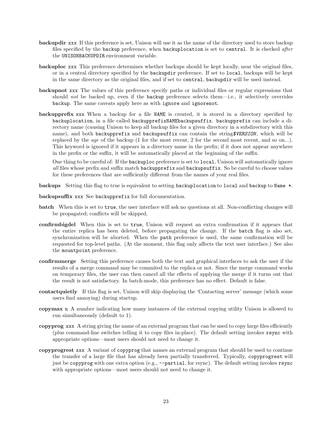- backupdir xxx If this preference is set, Unison will use it as the name of the directory used to store backup files specified by the backup preference, when backuplocation is set to central. It is checked after the UNISONBACKUPDIR environment variable.
- backuploc xxx This preference determines whether backups should be kept locally, near the original files, or in a central directory specified by the backupdir preference. If set to local, backups will be kept in the same directory as the original files, and if set to central, backupdir will be used instead.
- backupnot xxx The values of this preference specify paths or individual files or regular expressions that should not be backed up, even if the backup preference selects them—i.e., it selectively overrides backup. The same caveats apply here as with ignore and ignorenot.
- backupprefix xxx When a backup for a file NAME is created, it is stored in a directory specified by backuplocation, in a file called backupprefixNAMEbackupsuffix. backupprefix can include a directory name (causing Unison to keep all backup files for a given directory in a subdirectory with this name), and both backupprefix and backupsuffix can contain the string\$VERSION, which will be replaced by the *age* of the backup (1 for the most recent, 2 for the second most recent, and so on...). This keyword is ignored if it appears in a directory name in the prefix; if it does not appear anywhere in the prefix or the suffix, it will be automatically placed at the beginning of the suffix.

One thing to be careful of: If the backuploc preference is set to local, Unison will automatically ignore all files whose prefix and suffix match backupprefix and backupsuffix. So be careful to choose values for these preferences that are sufficiently different from the names of your real files.

backups Setting this flag to true is equivalent to setting backuplocation to local and backup to Name \*.

backupsuffix xxx See backupprefix for full documentation.

- batch When this is set to true, the user interface will ask no questions at all. Non-conflicting changes will be propagated; conflicts will be skipped.
- confirmbigdel When this is set to true, Unison will request an extra confirmation if it appears that the entire replica has been deleted, before propagating the change. If the batch flag is also set, synchronization will be aborted. When the path preference is used, the same confirmation will be requested for top-level paths. (At the moment, this flag only affects the text user interface.) See also the mountpoint preference.
- confirmmerge Setting this preference causes both the text and graphical interfaces to ask the user if the results of a merge command may be commited to the replica or not. Since the merge command works on temporary files, the user can then cancel all the effects of applying the merge if it turns out that the result is not satisfactory. In batch-mode, this preference has no effect. Default is false.
- contactquietly If this flag is set, Unison will skip displaying the 'Contacting server' message (which some users find annoying) during startup.
- copymax n A number indicating how many instances of the external copying utility Unison is allowed to run simultaneously (default to 1).
- copyprog xxx A string giving the name of an external program that can be used to copy large files efficiently (plus command-line switches telling it to copy files in-place). The default setting invokes rsync with appropriate options—most users should not need to change it.
- copyprogrest xxx A variant of copyprog that names an external program that should be used to continue the transfer of a large file that has already been partially transferred. Typically, copyprogrest will just be copyprog with one extra option (e.g., --partial, for rsync). The default setting invokes rsync with appropriate options—most users should not need to change it.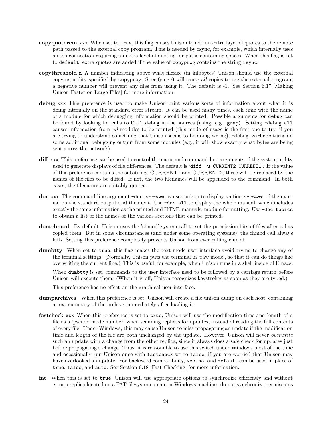- copyquoterem xxx When set to true, this flag causes Unison to add an extra layer of quotes to the remote path passed to the external copy program. This is needed by rsync, for example, which internally uses an ssh connection requiring an extra level of quoting for paths containing spaces. When this flag is set to default, extra quotes are added if the value of copyprog contains the string rsync.
- copythreshold n A number indicating above what filesize (in kilobytes) Unison should use the external copying utility specified by copyprog. Specifying 0 will cause all copies to use the external program; a negative number will prevent any files from using it. The default is -1. See Section 6.17 [Making Unison Faster on Large Files] for more information.
- debug xxx This preference is used to make Unison print various sorts of information about what it is doing internally on the standard error stream. It can be used many times, each time with the name of a module for which debugging information should be printed. Possible arguments for debug can be found by looking for calls to Util.debug in the sources (using, e.g., grep). Setting -debug all causes information from all modules to be printed (this mode of usage is the first one to try, if you are trying to understand something that Unison seems to be doing wrong); -debug verbose turns on some additional debugging output from some modules (e.g., it will show exactly what bytes are being sent across the network).
- diff xxx This preference can be used to control the name and command-line arguments of the system utility used to generate displays of file differences. The default is 'diff  $-\mu$  CURRENT2 CURRENT1'. If the value of this preference contains the substrings CURRENT1 and CURRENT2, these will be replaced by the names of the files to be diffed. If not, the two filenames will be appended to the command. In both cases, the filenames are suitably quoted.
- doc xxx The command-line argument -doc secname causes unison to display section secname of the manual on the standard output and then exit. Use -doc all to display the whole manual, which includes exactly the same information as the printed and HTML manuals, modulo formatting. Use -doc topics to obtain a list of the names of the various sections that can be printed.
- dontchmod By default, Unison uses the 'chmod' system call to set the permission bits of files after it has copied them. But in some circumstances (and under some operating systems), the chmod call always fails. Setting this preference completely prevents Unison from ever calling chmod.
- dumbtty When set to true, this flag makes the text mode user interface avoid trying to change any of the terminal settings. (Normally, Unison puts the terminal in 'raw mode', so that it can do things like overwriting the current line.) This is useful, for example, when Unison runs in a shell inside of Emacs. When dumbtty is set, commands to the user interface need to be followed by a carriage return before Unison will execute them. (When it is off, Unison recognizes keystrokes as soon as they are typed.)

This preference has no effect on the graphical user interface.

- dumparchives When this preference is set, Unison will create a file unison.dump on each host, containing a text summary of the archive, immediately after loading it.
- fastcheck xxx When this preference is set to true, Unison will use the modification time and length of a file as a 'pseudo inode number' when scanning replicas for updates, instead of reading the full contents of every file. Under Windows, this may cause Unison to miss propagating an update if the modification time and length of the file are both unchanged by the update. However, Unison will never *overwrite* such an update with a change from the other replica, since it always does a safe check for updates just before propagating a change. Thus, it is reasonable to use this switch under Windows most of the time and occasionally run Unison once with fastcheck set to false, if you are worried that Unison may have overlooked an update. For backward compatibility, yes, no, and default can be used in place of true, false, and auto. See Section 6.18 [Fast Checking] for more information.
- fat When this is set to true, Unison will use appropriate options to synchronize efficiently and without error a replica located on a FAT filesystem on a non-Windows machine: do not synchronize permissions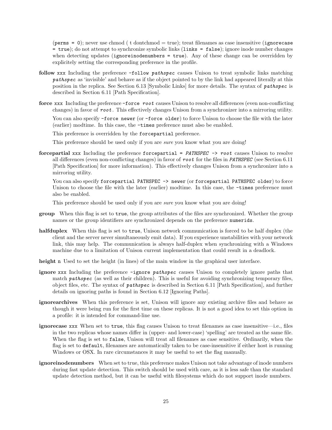(perms = 0); never use chmod ( t dontchmod  $=$  true); treat filenames as case insensitive (ignorecase = true); do not attempt to synchronize symbolic links (links = false); ignore inode number changes when detecting updates (ignoreinodenumbers = true). Any of these change can be overridden by explicitely setting the corresponding preference in the profile.

- follow xxx Including the preference -follow *pathspec* causes Unison to treat symbolic links matching pathspec as 'invisible' and behave as if the object pointed to by the link had appeared literally at this position in the replica. See Section 6.13 [Symbolic Links] for more details. The syntax of pathspec is described in Section 6.11 [Path Specification].
- force xxx Including the preference -force root causes Unison to resolve all differences (even non-conflicting changes) in favor of root . This effectively changes Unison from a synchronizer into a mirroring utility.

You can also specify -force newer (or -force older) to force Unison to choose the file with the later (earlier) modtime. In this case, the -times preference must also be enabled.

This preference is overridden by the forcepartial preference.

This preference should be used only if you are *sure* you know what you are doing!

forcepartial xxx Including the preference forcepartial =  $PATHSPEC \rightarrow root$  causes Unison to resolve all differences (even non-conflicting changes) in favor of  $root$  for the files in PATHSPEC (see Section 6.11) [Path Specification] for more information). This effectively changes Unison from a synchronizer into a mirroring utility.

You can also specify for cepartial PATHSPEC -> newer (or forcepartial PATHSPEC older) to force Unison to choose the file with the later (earlier) modtime. In this case, the  $-\tau$  times preference must also be enabled.

This preference should be used only if you are *sure* you know what you are doing!

- group When this flag is set to true, the group attributes of the files are synchronized. Whether the group names or the group identifiers are synchronized depends on the preference numerids.
- halfduplex When this flag is set to true, Unison network communication is forced to be half duplex (the client and the server never simultaneously emit data). If you experience unstabilities with your network link, this may help. The communication is always half-duplex when synchronizing with a Windows machine due to a limitation of Unison current implementation that could result in a deadlock.
- height n Used to set the height (in lines) of the main window in the graphical user interface.
- ignore xxx Including the preference -ignore pathspec causes Unison to completely ignore paths that match  $pathspec$  (as well as their children). This is useful for avoiding synchronizing temporary files, object files, etc. The syntax of pathspec is described in Section 6.11 [Path Specification], and further details on ignoring paths is found in Section 6.12 [Ignoring Paths].
- ignorearchives When this preference is set, Unison will ignore any existing archive files and behave as though it were being run for the first time on these replicas. It is not a good idea to set this option in a profile: it is intended for command-line use.
- ignorecase xxx When set to true, this flag causes Unison to treat filenames as case insensitive—i.e., files in the two replicas whose names differ in (upper- and lower-case) 'spelling' are treated as the same file. When the flag is set to false, Unison will treat all filenames as case sensitive. Ordinarily, when the flag is set to default, filenames are automatically taken to be case-insensitive if either host is running Windows or OSX. In rare circumstances it may be useful to set the flag manually.
- ignoreinodenumbers When set to true, this preference makes Unison not take advantage of inode numbers during fast update detection. This switch should be used with care, as it is less safe than the standard update detection method, but it can be useful with filesystems which do not support inode numbers.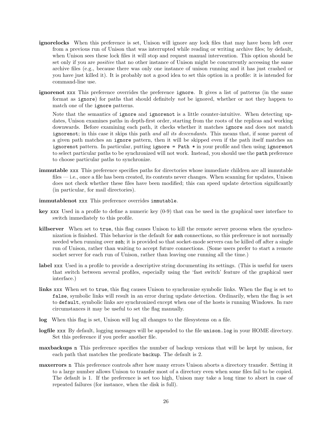- ignorelocks When this preference is set, Unison will ignore any lock files that may have been left over from a previous run of Unison that was interrupted while reading or writing archive files; by default, when Unison sees these lock files it will stop and request manual intervention. This option should be set only if you are *positive* that no other instance of Unison might be concurrently accessing the same archive files (e.g., because there was only one instance of unison running and it has just crashed or you have just killed it). It is probably not a good idea to set this option in a profile: it is intended for command-line use.
- ignorenot xxx This preference overrides the preference ignore. It gives a list of patterns (in the same format as ignore) for paths that should definitely not be ignored, whether or not they happen to match one of the ignore patterns.

Note that the semantics of ignore and ignorenot is a little counter-intuitive. When detecting updates, Unison examines paths in depth-first order, starting from the roots of the replicas and working downwards. Before examining each path, it checks whether it matches ignore and does not match ignorenot; in this case it skips this path and all its descendants. This means that, if some parent of a given path matches an ignore pattern, then it will be skipped even if the path itself matches an ignorenot pattern. In particular, putting ignore = Path \* in your profile and then using ignorenot to select particular paths to be synchronized will not work. Instead, you should use the path preference to choose particular paths to synchronize.

- immutable xxx This preference specifies paths for directories whose immediate children are all immutable files — i.e., once a file has been created, its contents never changes. When scanning for updates, Unison does not check whether these files have been modified; this can speed update detection significantly (in particular, for mail directories).
- immutablenot xxx This preference overrides immutable.
- key xxx Used in a profile to define a numeric key (0-9) that can be used in the graphical user interface to switch immediately to this profile.
- killserver When set to true, this flag causes Unison to kill the remote server process when the synchronization is finished. This behavior is the default for ssh connections, so this preference is not normally needed when running over ssh; it is provided so that socket-mode servers can be killed off after a single run of Unison, rather than waiting to accept future connections. (Some users prefer to start a remote socket server for each run of Unison, rather than leaving one running all the time.)
- label xxx Used in a profile to provide a descriptive string documenting its settings. (This is useful for users that switch between several profiles, especially using the 'fast switch' feature of the graphical user interface.)
- links xxx When set to true, this flag causes Unison to synchronize symbolic links. When the flag is set to false, symbolic links will result in an error during update detection. Ordinarily, when the flag is set to default, symbolic links are synchronized except when one of the hosts is running Windows. In rare circumstances it may be useful to set the flag manually.
- log When this flag is set, Unison will log all changes to the filesystems on a file.
- logfile xxx By default, logging messages will be appended to the file unison.log in your HOME directory. Set this preference if you prefer another file.
- maxbackups n This preference specifies the number of backup versions that will be kept by unison, for each path that matches the predicate backup. The default is 2.
- maxerrors n This preference controls after how many errors Unison aborts a directory transfer. Setting it to a large number allows Unison to transfer most of a directory even when some files fail to be copied. The default is 1. If the preference is set too high, Unison may take a long time to abort in case of repeated failures (for instance, when the disk is full).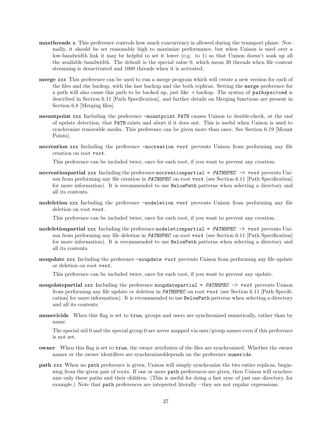- maxthreads n This preference controls how much concurrency is allowed during the transport phase. Normally, it should be set reasonably high to maximize performance, but when Unison is used over a low-bandwidth link it may be helpful to set it lower (e.g. to 1) so that Unison doesn't soak up all the available bandwidth. The default is the special value 0, which mean 20 threads when file content streaming is desactivated and 1000 threads when it is activated.
- merge xxx This preference can be used to run a merge program which will create a new version for each of the files and the backup, with the last backup and the both replicas. Setting the merge preference for a path will also cause this path to be backed up, just like t backup. The syntax of pathspec>cmd is described in Section 6.11 [Path Specification], and further details on Merging functions are present in Section 6.8 [Merging files].
- mountpoint xxx Including the preference -mountpoint PATH causes Unison to double-check, at the end of update detection, that PATH exists and abort if it does not. This is useful when Unison is used to synchronize removable media. This preference can be given more than once. See Section 6.19 [Mount Points].
- nocreation xxx Including the preference -nocreation root prevents Unison from performing any file creation on root root .

This preference can be included twice, once for each root, if you want to prevent any creation.

- nocreationpartial xxx Including the preference nocreationpartial =  $PATHSPEC \rightarrow root$  prevents Unison from performing any file creation in **PATHSPEC** on root root (see Section 6.11 [Path Specification] for more information). It is recommended to use BelowPath patterns when selecting a directory and all its contents.
- nodeletion xxx Including the preference -nodeletion root prevents Unison from performing any file deletion on root root.

This preference can be included twice, once for each root, if you want to prevent any creation.

- nodeletionpartial xxx Including the preference nodeletionpartial =  $PATHSPEC \rightarrow root$  prevents Unison from performing any file deletion in PATHSPEC on root root (see Section 6.11 [Path Specification] for more information). It is recommended to use BelowPath patterns when selecting a directory and all its contents.
- noupdate xxx Including the preference -noupdate root prevents Unison from performing any file update or deletion on root root .

This preference can be included twice, once for each root, if you want to prevent any update.

- noupdatepartial xxx Including the preference noupdatepartial =  $PATHSPEC \rightarrow root$  prevents Unison from performing any file update or deletion in PATHSPEC on root root (see Section 6.11 [Path Specification] for more information). It is recommended to use BelowPath patterns when selecting a directory and all its contents.
- numericids When this flag is set to true, groups and users are synchronized numerically, rather than by name.

The special uid 0 and the special group 0 are never mapped via user/group names even if this preference is not set.

- owner When this flag is set to true, the owner attributes of the files are synchronized. Whether the owner names or the owner identifiers are synchronizeddepends on the preference numerids.
- path xxx When no path preference is given, Unison will simply synchronize the two entire replicas, beginning from the given pair of roots. If one or more path preferences are given, then Unison will synchronize only these paths and their children. (This is useful for doing a fast sync of just one directory, for example.) Note that path preferences are intepreted literally—they are not regular expressions.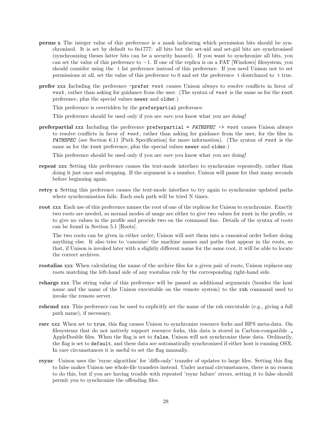- perms n The integer value of this preference is a mask indicating which permission bits should be synchronized. It is set by default to 0o1777: all bits but the set-uid and set-gid bits are synchronised (synchronizing theses latter bits can be a security hazard). If you want to synchronize all bits, you can set the value of this preference to −1. If one of the replica is on a FAT [Windows] filesystem, you should consider using the t fat preference instead of this preference. If you need Unison not to set permissions at all, set the value of this preference to 0 and set the preference t dontchmod to t true.
- prefer xxx Including the preference -prefer root causes Unison always to resolve conflicts in favor of root, rather than asking for guidance from the user. (The syntax of root is the same as for the root preference, plus the special values newer and older.)

This preference is overridden by the preferpartial preference.

This preference should be used only if you are *sure* you know what you are doing!

preferpartial xxx Including the preference preferpartial = PATHSPEC -> root causes Unison always to resolve conflicts in favor of root, rather than asking for guidance from the user, for the files in PATHSPEC (see Section 6.11 [Path Specification] for more information). (The syntax of root is the same as for the root preference, plus the special values newer and older.)

This preference should be used only if you are *sure* you know what you are doing!

- repeat xxx Setting this preference causes the text-mode interface to synchronize repeatedly, rather than doing it just once and stopping. If the argument is a number, Unison will pause for that many seconds before beginning again.
- retry n Setting this preference causes the text-mode interface to try again to synchronize updated paths where synchronization fails. Each such path will be tried N times.
- root xxx Each use of this preference names the root of one of the replicas for Unison to synchronize. Exactly two roots are needed, so normal modes of usage are either to give two values for root in the profile, or to give no values in the profile and provide two on the command line. Details of the syntax of roots can be found in Section 5.1 [Roots].

The two roots can be given in either order; Unison will sort them into a canonical order before doing anything else. It also tries to 'canonize' the machine names and paths that appear in the roots, so that, if Unison is invoked later with a slightly different name for the same root, it will be able to locate the correct archives.

- rootalias xxx When calculating the name of the archive files for a given pair of roots, Unison replaces any roots matching the left-hand side of any rootalias rule by the corresponding right-hand side.
- rshargs xxx The string value of this preference will be passed as additional arguments (besides the host name and the name of the Unison executable on the remote system) to the rsh command used to invoke the remote server.
- rshcmd xxx This preference can be used to explicitly set the name of the rsh executable (e.g., giving a full path name), if necessary.
- rsrc xxx When set to true, this flag causes Unison to synchronize resource forks and HFS meta-data. On filesystems that do not natively support resource forks, this data is stored in Carbon-compatible . AppleDouble files. When the flag is set to false, Unison will not synchronize these data. Ordinarily, the flag is set to default, and these data are automatically synchronized if either host is running OSX. In rare circumstances it is useful to set the flag manually.
- rsync Unison uses the 'rsync algorithm' for 'diffs-only' transfer of updates to large files. Setting this flag to false makes Unison use whole-file transfers instead. Under normal circumstances, there is no reason to do this, but if you are having trouble with repeated 'rsync failure' errors, setting it to false should permit you to synchronize the offending files.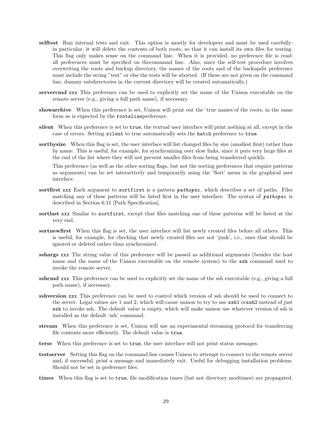- selftest Run internal tests and exit. This option is mostly for developers and must be used carefully: in particular, it will delete the contents of both roots, so that it can install its own files for testing. This flag only makes sense on the command line. When it is provided, no preference file is read: all preferences must be specified on thecommand line. Also, since the self-test procedure involves overwriting the roots and backup directory, the names of the roots and of the backupdir preference must include the string "test" or else the tests will be aborted. (If these are not given on the command line, dummy subdirectories in the current directory will be created automatically.)
- servercmd xxx This preference can be used to explicitly set the name of the Unison executable on the remote server (e.g., giving a full path name), if necessary.
- showarchive When this preference is set, Unison will print out the 'true names'of the roots, in the same form as is expected by the rootaliaspreference.
- silent When this preference is set to true, the textual user interface will print nothing at all, except in the case of errors. Setting silent to true automatically sets the batch preference to true.
- sortbysize When this flag is set, the user interface will list changed files by size (smallest first) rather than by name. This is useful, for example, for synchronizing over slow links, since it puts very large files at the end of the list where they will not prevent smaller files from being transferred quickly.

This preference (as well as the other sorting flags, but not the sorting preferences that require patterns as arguments) can be set interactively and temporarily using the 'Sort' menu in the graphical user interface.

- sortfirst xxx Each argument to sortfirst is a pattern *pathspec*, which describes a set of paths. Files matching any of these patterns will be listed first in the user interface. The syntax of pathspec is described in Section 6.11 [Path Specification].
- sortlast xxx Similar to sortfirst, except that files matching one of these patterns will be listed at the very end.
- sortnewfirst When this flag is set, the user interface will list newly created files before all others. This is useful, for example, for checking that newly created files are not 'junk', i.e., ones that should be ignored or deleted rather than synchronized.
- sshargs xxx The string value of this preference will be passed as additional arguments (besides the host name and the name of the Unison executable on the remote system) to the ssh command used to invoke the remote server.
- sshcmd xxx This preference can be used to explicitly set the name of the ssh executable (e.g., giving a full path name), if necessary.
- sshversion xxx This preference can be used to control which version of ssh should be used to connect to the server. Legal values are 1 and 2, which will cause unison to try to use ssh1 orssh2 instead of just ssh to invoke ssh. The default value is empty, which will make unison use whatever version of ssh is installed as the default 'ssh' command.
- stream When this preference is set, Unison will use an experimental streaming protocol for transferring file contents more efficiently. The default value is true.
- terse When this preference is set to true, the user interface will not print status messages.
- testserver Setting this flag on the command line causes Unison to attempt to connect to the remote server and, if successful, print a message and immediately exit. Useful for debugging installation problems. Should not be set in preference files.
- times When this flag is set to true, file modification times (but not directory modtimes) are propagated.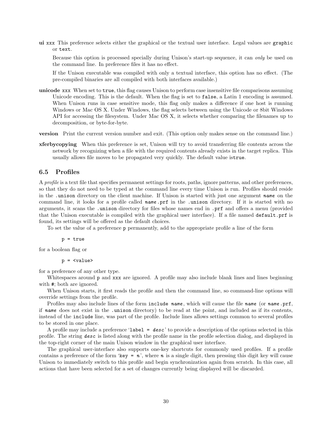ui xxx This preference selects either the graphical or the textual user interface. Legal values are graphic or text.

Because this option is processed specially during Unison's start-up sequence, it can only be used on the command line. In preference files it has no effect.

If the Unison executable was compiled with only a textual interface, this option has no effect. (The pre-compiled binaries are all compiled with both interfaces available.)

- unicode xxx When set to true, this flag causes Unison to perform case insensitive file comparisons assuming Unicode encoding. This is the default. When the flag is set to false, a Latin 1 encoding is assumed. When Unison runs in case sensitive mode, this flag only makes a difference if one host is running Windows or Mac OS X. Under Windows, the flag selects between using the Unicode or 8bit Windows API for accessing the filesystem. Under Mac OS X, it selects whether comparing the filenames up to decomposition, or byte-for-byte.
- version Print the current version number and exit. (This option only makes sense on the command line.)
- xferbycopying When this preference is set, Unison will try to avoid transferring file contents across the network by recognizing when a file with the required contents already exists in the target replica. This usually allows file moves to be propagated very quickly. The default value istrue.

#### 6.5 Profiles

A profile is a text file that specifies permanent settings for roots, paths, ignore patterns, and other preferences, so that they do not need to be typed at the command line every time Unison is run. Profiles should reside in the .unison directory on the client machine. If Unison is started with just one argument name on the command line, it looks for a profile called  $name$ , prf in the .unison directory. If it is started with no arguments, it scans the .unison directory for files whose names end in .prf and offers a menu (provided that the Unison executable is compiled with the graphical user interface). If a file named default.prf is found, its settings will be offered as the default choices.

To set the value of a preference p permanently, add to the appropriate profile a line of the form

p = true

for a boolean flag or

p = <value>

for a preference of any other type.

Whitespaces around p and xxx are ignored. A profile may also include blank lines and lines beginning with #; both are ignored.

When Unison starts, it first reads the profile and then the command line, so command-line options will override settings from the profile.

Profiles may also include lines of the form include name, which will cause the file name (or name .prf, if name does not exist in the .unison directory) to be read at the point, and included as if its contents, instead of the include line, was part of the profile. Include lines allows settings common to several profiles to be stored in one place.

A profile may include a preference 'label =  $desc$ ' to provide a description of the options selected in this profile. The string desc is listed along with the profile name in the profile selection dialog, and displayed in the top-right corner of the main Unison window in the graphical user interface.

The graphical user-interface also supports one-key shortcuts for commonly used profiles. If a profile contains a preference of the form 'key =  $n'$ ', where n is a single digit, then pressing this digit key will cause Unison to immediately switch to this profile and begin synchronization again from scratch. In this case, all actions that have been selected for a set of changes currently being displayed will be discarded.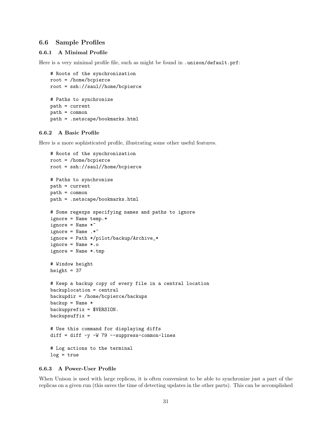#### 6.6 Sample Profiles

#### 6.6.1 A Minimal Profile

Here is a very minimal profile file, such as might be found in .unison/default.prf:

```
# Roots of the synchronization
root = /home/bcpierce
root = ssh://saul//home/bcpierce
# Paths to synchronize
path = current
path = common
path = .netscape/bookmarks.html
```
#### 6.6.2 A Basic Profile

Here is a more sophisticated profile, illustrating some other useful features.

```
# Roots of the synchronization
root = /home/bcpierce
root = ssh://saul//home/bcpierce
# Paths to synchronize
path = current
path = common
path = .netscape/bookmarks.html
# Some regexps specifying names and paths to ignore
ignore = Name temp.*
ignore = Name *ignore = Name : *^*ignore = Path */pilot/backup/Archive_*
ignore = Name *.o
ignore = Name *.tmp
# Window height
height = 37# Keep a backup copy of every file in a central location
backuplocation = central
backupdir = /home/bcpierce/backups
backup = Name *backupprefix = $VERSION.
backupsuffix =# Use this command for displaying diffs
diff = diff -y -W 79 --suppress-common-lines
# Log actions to the terminal
log = true
```
#### 6.6.3 A Power-User Profile

When Unison is used with large replicas, it is often convenient to be able to synchronize just a part of the replicas on a given run (this saves the time of detecting updates in the other parts). This can be accomplished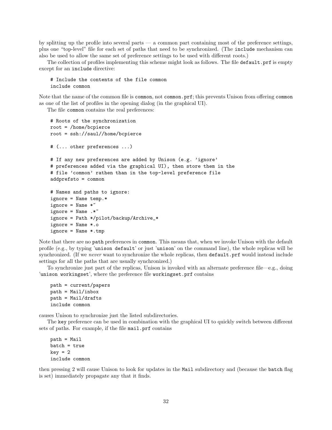by splitting up the profile into several parts  $-$  a common part containing most of the preference settings, plus one "top-level" file for each set of paths that need to be synchronized. (The include mechanism can also be used to allow the same set of preference settings to be used with different roots.)

The collection of profiles implementing this scheme might look as follows. The file default.prf is empty except for an include directive:

```
# Include the contents of the file common
include common
```
Note that the name of the common file is common, not common.prf; this prevents Unison from offering common as one of the list of profiles in the opening dialog (in the graphical UI).

The file common contains the real preferences:

```
# Roots of the synchronization
root = /home/bcpierce
root = ssh://saul//home/bcpierce
# (... other preferences ...)
# If any new preferences are added by Unison (e.g. 'ignore'
# preferences added via the graphical UI), then store them in the
# file 'common' rathen than in the top-level preference file
addprefsto = common
# Names and paths to ignore:
ignore = Name temp.*
ignore = Name *ignore = Name : *^*ignore = Path */pilot/backup/Archive_*
ignore = Name *.o
ignore = Name *.tmp
```
Note that there are no path preferences in common. This means that, when we invoke Unison with the default profile (e.g., by typing 'unison default' or just 'unison' on the command line), the whole replicas will be synchronized. (If we never want to synchronize the whole replicas, then **default**.prf would instead include settings for all the paths that are usually synchronized.)

To synchronize just part of the replicas, Unison is invoked with an alternate preference file—e.g., doing 'unison workingset', where the preference file workingset.prf contains

```
path = current/papers
path = Mail/inbox
path = Mail/drafts
include common
```
causes Unison to synchronize just the listed subdirectories.

The key preference can be used in combination with the graphical UI to quickly switch between different sets of paths. For example, if the file mail.prf contains

path = Mail batch = true  $key = 2$ include common

then pressing 2 will cause Unison to look for updates in the Mail subdirectory and (because the batch flag is set) immediately propagate any that it finds.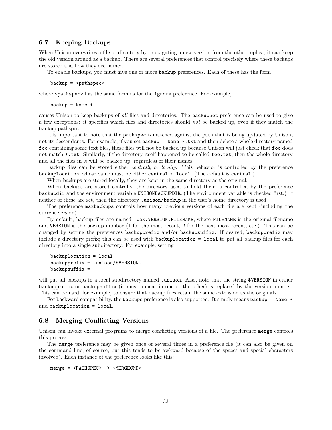## 6.7 Keeping Backups

When Unison overwrites a file or directory by propagating a new version from the other replica, it can keep the old version around as a backup. There are several preferences that control precisely where these backups are stored and how they are named.

To enable backups, you must give one or more backup preferences. Each of these has the form

backup = <pathspec>

where  $\epsilon$  pathspec> has the same form as for the ignore preference. For example,

 $backup = Name *$ 

causes Unison to keep backups of all files and directories. The backupnot preference can be used to give a few exceptions: it specifies which files and directories should not be backed up, even if they match the backup pathspec.

It is important to note that the pathspec is matched against the path that is being updated by Unison, not its descendants. For example, if you set backup = Name \*.txt and then delete a whole directory named foo containing some text files, these files will not be backed up because Unison will just check that foo does not match \*.txt. Similarly, if the directory itself happened to be called foo.txt, then the whole directory and all the files in it will be backed up, regardless of their names.

Backup files can be stored either centrally or locally. This behavior is controlled by the preference backuplocation, whose value must be either central or local. (The default is central.)

When backups are stored locally, they are kept in the same directory as the original.

When backups are stored centrally, the directory used to hold them is controlled by the preference backupdir and the environment variable UNISONBACKUPDIR. (The environment variable is checked first.) If neither of these are set, then the directory .unison/backup in the user's home directory is used.

The preference maxbackups controls how many previous versions of each file are kept (including the current version).

By default, backup files are named .bak.VERSION.FILENAME, where FILENAME is the original filename and VERSION is the backup number (1 for the most recent, 2 for the next most recent, etc.). This can be changed by setting the preferences backupprefix and/or backupsuffix. If desired, backupprefix may include a directory prefix; this can be used with backuplocation = local to put all backup files for each directory into a single subdirectory. For example, setting

```
backuplocation = local
backupprefix = .unison/$VERSION.
background =
```
will put all backups in a local subdirectory named .unison. Also, note that the string \$VERSION in either backupprefix or backupsuffix (it must appear in one or the other) is replaced by the version number. This can be used, for example, to ensure that backup files retain the same extension as the originals.

For backward compatibility, the backups preference is also supported. It simply means backup = Name  $*$ and backuplocation = local.

#### 6.8 Merging Conflicting Versions

Unison can invoke external programs to merge conflicting versions of a file. The preference merge controls this process.

The merge preference may be given once or several times in a preference file (it can also be given on the command line, of course, but this tends to be awkward because of the spaces and special characters involved). Each instance of the preference looks like this:

merge = <PATHSPEC> -> <MERGECMD>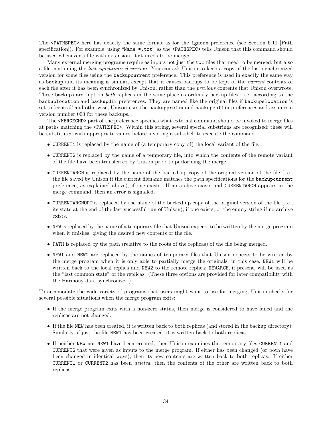The <PATHSPEC> here has exactly the same format as for the ignore preference (see Section 6.11 [Path specification]). For example, using "Name \*.txt" as the <PATHSPEC> tells Unison that this command should be used whenever a file with extension  $.txt$  needs to be merged.

Many external merging programs require as inputs not just the two files that need to be merged, but also a file containing the last synchronized version. You can ask Unison to keep a copy of the last synchronized version for some files using the backupcurrent preference. This preference is used in exactly the same way as backup and its meaning is similar, except that it causes backups to be kept of the current contents of each file after it has been synchronized by Unison, rather than the previous contents that Unison overwrote. These backups are kept on both replicas in the same place as ordinary backup files—i.e. according to the backuplocation and backupdir preferences. They are named like the original files if backupslocation is set to 'central' and otherwise, Unison uses the backupprefix and backupsuffix preferences and assumes a version number 000 for these backups.

The <MERGECMD> part of the preference specifies what external command should be invoked to merge files at paths matching the <PATHSPEC>. Within this string, several special substrings are recognized; these will be substituted with appropriate values before invoking a sub-shell to execute the command.

- CURRENT1 is replaced by the name of (a temporary copy of) the local variant of the file.
- CURRENT2 is replaced by the name of a temporary file, into which the contents of the remote variant of the file have been transferred by Unison prior to performing the merge.
- CURRENTARCH is replaced by the name of the backed up copy of the original version of the file (i.e., the file saved by Unison if the current filename matches the path specifications for the backupcurrent preference, as explained above), if one exists. If no archive exists and CURRENTARCH appears in the merge command, then an error is signalled.
- CURRENTARCHOPT is replaced by the name of the backed up copy of the original version of the file (i.e., its state at the end of the last successful run of Unison), if one exists, or the empty string if no archive exists.
- NEW is replaced by the name of a temporary file that Unison expects to be written by the merge program when it finishes, giving the desired new contents of the file.
- PATH is replaced by the path (relative to the roots of the replicas) of the file being merged.
- NEW1 and NEW2 are replaced by the names of temporary files that Unison expects to be written by the merge program when it is only able to partially merge the originals; in this case, NEW1 will be written back to the local replica and NEW2 to the remote replica; NEWARCH, if present, will be used as the "last common state" of the replicas. (These three options are provided for later compatibility with the Harmony data synchronizer.)

To accomodate the wide variety of programs that users might want to use for merging, Unison checks for several possible situations when the merge program exits:

- If the merge program exits with a non-zero status, then merge is considered to have failed and the replicas are not changed.
- If the file NEW has been created, it is written back to both replicas (and stored in the backup directory). Similarly, if just the file NEW1 has been created, it is written back to both replicas.
- If neither NEW nor NEW1 have been created, then Unison examines the temporary files CURRENT1 and CURRENT2 that were given as inputs to the merge program. If either has been changed (or both have been changed in identical ways), then its new contents are written back to both replicas. If either CURRENT1 or CURRENT2 has been deleted, then the contents of the other are written back to both replicas.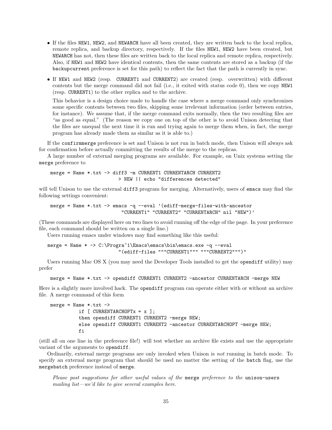- If the files NEW1, NEW2, and NEWARCH have all been created, they are written back to the local replica, remote replica, and backup directory, respectively. If the files NEW1, NEW2 have been created, but NEWARCH has not, then these files are written back to the local replica and remote replica, respectively. Also, if NEW1 and NEW2 have identical contents, then the same contents are stored as a backup (if the backupcurrent preference is set for this path) to reflect the fact that the path is currently in sync.
- If NEW1 and NEW2 (resp. CURRENT1 and CURRENT2) are created (resp. overwritten) with different contents but the merge command did not fail (i.e., it exited with status code 0), then we copy NEW1 (resp. CURRENT1) to the other replica and to the archive.

This behavior is a design choice made to handle the case where a merge command only synchronizes some specific contents between two files, skipping some irrelevant information (order between entries, for instance). We assume that, if the merge command exits normally, then the two resulting files are "as good as equal." (The reason we copy one on top of the other is to avoid Unison detecting that the files are unequal the next time it is run and trying again to merge them when, in fact, the merge program has already made them as similar as it is able to.)

If the confirmmerge preference is set and Unison is not run in batch mode, then Unison will always ask for confirmation before actually committing the results of the merge to the replicas.

A large number of external merging programs are available. For example, on Unix systems setting the merge preference to

merge = Name \*.txt -> diff3 -m CURRENT1 CURRENTARCH CURRENT2 > NEW || echo "differences detected"

will tell Unison to use the external diff3 program for merging. Alternatively, users of emacs may find the following settings convenient:

```
merge = Name *.txt -> emacs -q --eval '(ediff-merge-files-with-ancestor
                         "CURRENT1" "CURRENT2" "CURRENTARCH" nil "NEW")'
```
(These commands are displayed here on two lines to avoid running off the edge of the page. In your preference file, each command should be written on a single line.)

Users running emacs under windows may find something like this useful:

```
merge = Name * -> C:\PProgra^1\Emacs\emph{bins}\bin\emph{ex}.\nelse $p=1$ and $p=1$ and $p=1$."(ediff-files """CURRENT1""" """CURRENT2""")"
```
Users running Mac OS X (you may need the Developer Tools installed to get the opendiff utility) may prefer

```
merge = Name *.txt -> opendiff CURRENT1 CURRENT2 -ancestor CURRENTARCH -merge NEW
```
Here is a slightly more involved hack. The opendiff program can operate either with or without an archive file. A merge command of this form

```
merge = Name * .txt ->if [ CURRENTARCHOPTx = x ];
          then opendiff CURRENT1 CURRENT2 -merge NEW;
          else opendiff CURRENT1 CURRENT2 -ancestor CURRENTARCHOPT -merge NEW;
          fi
```
(still all on one line in the preference file!) will test whether an archive file exists and use the appropriate variant of the arguments to opendiff.

Ordinarily, external merge programs are only invoked when Unison is not running in batch mode. To specify an external merge program that should be used no matter the setting of the batch flag, use the mergebatch preference instead of merge.

Please post suggestions for other useful values of the merge preference to the unison-users mailing list—we'd like to give several examples here.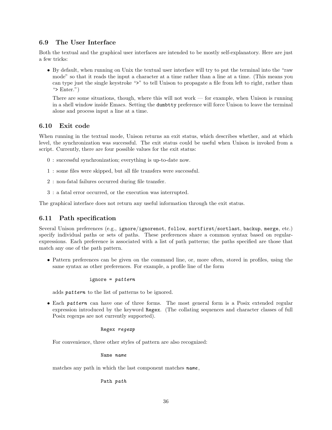# 6.9 The User Interface

Both the textual and the graphical user interfaces are intended to be mostly self-explanatory. Here are just a few tricks:

• By default, when running on Unix the textual user interface will try to put the terminal into the "raw mode" so that it reads the input a character at a time rather than a line at a time. (This means you can type just the single keystroke ">" to tell Unison to propagate a file from left to right, rather than ">  $Enter."$ )

There are some situations, though, where this will not work — for example, when Unison is running in a shell window inside Emacs. Setting the dumbtty preference will force Unison to leave the terminal alone and process input a line at a time.

# 6.10 Exit code

When running in the textual mode, Unison returns an exit status, which describes whether, and at which level, the synchronization was successful. The exit status could be useful when Unison is invoked from a script. Currently, there are four possible values for the exit status:

- 0 : successful synchronization; everything is up-to-date now.
- 1 : some files were skipped, but all file transfers were successful.
- 2 : non-fatal failures occurred during file transfer.
- 3 : a fatal error occurred, or the execution was interrupted.

The graphical interface does not return any useful information through the exit status.

# 6.11 Path specification

Several Unison preferences (e.g., ignore/ignorenot, follow, sortfirst/sortlast, backup, merge, etc.) specify individual paths or sets of paths. These preferences share a common syntax based on regularexpressions. Each preference is associated with a list of path patterns; the paths specified are those that match any one of the path pattern.

• Pattern preferences can be given on the command line, or, more often, stored in profiles, using the same syntax as other preferences. For example, a profile line of the form

$$
\verb|ignore = pattern| \\
$$

adds pattern to the list of patterns to be ignored.

• Each pattern can have one of three forms. The most general form is a Posix extended regular expression introduced by the keyword Regex. (The collating sequences and character classes of full Posix regexps are not currently supported).

#### Regex regexp

For convenience, three other styles of pattern are also recognized:

Name name

matches any path in which the last component matches **name**,

Path path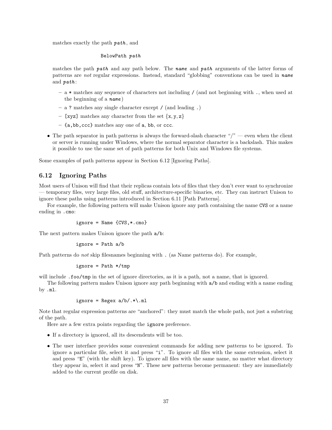matches exactly the path path , and

#### BelowPath path

matches the path path and any path below. The name and path arguments of the latter forms of patterns are not regular expressions. Instead, standard "globbing" conventions can be used in name and *path*:

- a \* matches any sequence of characters not including / (and not beginning with ., when used at the beginning of a  $name)$
- a ? matches any single character except / (and leading .)
- [xyz] matches any character from the set  $\{x, y, z\}$
- {a,bb,ccc} matches any one of a, bb, or ccc.
- The path separator in path patterns is always the forward-slash character "/" even when the client or server is running under Windows, where the normal separator character is a backslash. This makes it possible to use the same set of path patterns for both Unix and Windows file systems.

Some examples of path patterns appear in Section 6.12 [Ignoring Paths].

# 6.12 Ignoring Paths

Most users of Unison will find that their replicas contain lots of files that they don't ever want to synchronize — temporary files, very large files, old stuff, architecture-specific binaries, etc. They can instruct Unison to ignore these paths using patterns introduced in Section 6.11 [Path Patterns].

For example, the following pattern will make Unison ignore any path containing the name CVS or a name ending in .cmo:

$$
ignore = Name {CVS, *.cmo}
$$

The next pattern makes Unison ignore the path a/b:

$$
ignore = Path a/b
$$

Path patterns do *not* skip filesnames beginning with . (as Name patterns do). For example,

$$
ignore = Path * /tmp
$$

will include .foo/tmp in the set of ignore directories, as it is a path, not a name, that is ignored.

The following pattern makes Unison ignore any path beginning with a/b and ending with a name ending by .ml.

$$
ignore = Regex a/b/.*\\.
$$
ml

Note that regular expression patterns are "anchored": they must match the whole path, not just a substring of the path.

Here are a few extra points regarding the ignore preference.

- If a directory is ignored, all its descendents will be too.
- The user interface provides some convenient commands for adding new patterns to be ignored. To ignore a particular file, select it and press "i". To ignore all files with the same extension, select it and press "E" (with the shift key). To ignore all files with the same name, no matter what directory they appear in, select it and press "N". These new patterns become permanent: they are immediately added to the current profile on disk.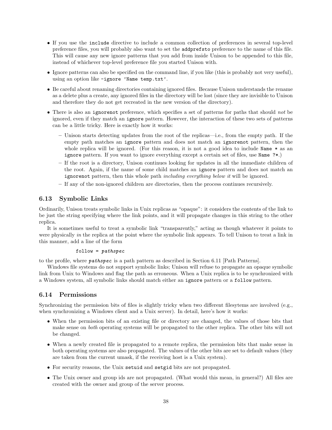- If you use the include directive to include a common collection of preferences in several top-level preference files, you will probably also want to set the addprefsto preference to the name of this file. This will cause any new ignore patterns that you add from inside Unison to be appended to this file, instead of whichever top-level preference file you started Unison with.
- Ignore patterns can also be specified on the command line, if you like (this is probably not very useful), using an option like -ignore 'Name temp.txt'.
- Be careful about renaming directories containing ignored files. Because Unison understands the rename as a delete plus a create, any ignored files in the directory will be lost (since they are invisible to Unison and therefore they do not get recreated in the new version of the directory).
- There is also an ignorenot preference, which specifies a set of patterns for paths that should not be ignored, even if they match an ignore pattern. However, the interaction of these two sets of patterns can be a little tricky. Here is exactly how it works:
	- Unison starts detecting updates from the root of the replicas—i.e., from the empty path. If the empty path matches an ignore pattern and does not match an ignorenot pattern, then the whole replica will be ignored. (For this reason, it is not a good idea to include Name  $*$  as an ignore pattern. If you want to ignore everything except a certain set of files, use Name ?\*.)
	- If the root is a directory, Unison continues looking for updates in all the immediate children of the root. Again, if the name of some child matches an ignore pattern and does not match an ignorenot pattern, then this whole path *including everything below it* will be ignored.
	- If any of the non-ignored children are directories, then the process continues recursively.

# 6.13 Symbolic Links

Ordinarily, Unison treats symbolic links in Unix replicas as "opaque": it considers the contents of the link to be just the string specifying where the link points, and it will propagate changes in this string to the other replica.

It is sometimes useful to treat a symbolic link "transparently," acting as though whatever it points to were physically in the replica at the point where the symbolic link appears. To tell Unison to treat a link in this manner, add a line of the form

#### $follow = pathspec$

to the profile, where pathspec is a path pattern as described in Section 6.11 [Path Patterns].

Windows file systems do not support symbolic links; Unison will refuse to propagate an opaque symbolic link from Unix to Windows and flag the path as erroneous. When a Unix replica is to be synchronized with a Windows system, all symbolic links should match either an ignore pattern or a follow pattern.

# 6.14 Permissions

Synchronizing the permission bits of files is slightly tricky when two different filesytems are involved (e.g., when synchronizing a Windows client and a Unix server). In detail, here's how it works:

- When the permission bits of an existing file or directory are changed, the values of those bits that make sense on both operating systems will be propagated to the other replica. The other bits will not be changed.
- When a newly created file is propagated to a remote replica, the permission bits that make sense in both operating systems are also propagated. The values of the other bits are set to default values (they are taken from the current umask, if the receiving host is a Unix system).
- For security reasons, the Unix setuid and setgid bits are not propagated.
- The Unix owner and group ids are not propagated. (What would this mean, in general?) All files are created with the owner and group of the server process.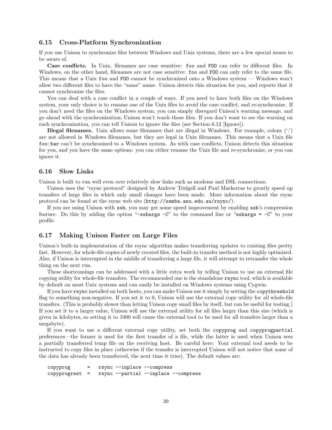#### 6.15 Cross-Platform Synchronization

If you use Unison to synchronize files between Windows and Unix systems, there are a few special issues to be aware of.

Case conflicts. In Unix, filenames are case sensitive: foo and FOO can refer to different files. In Windows, on the other hand, filenames are not case sensitive: foo and FOO can only refer to the same file. This means that a Unix foo and FOO cannot be synchronized onto a Windows system — Windows won't allow two different files to have the "same" name. Unison detects this situation for you, and reports that it cannot synchronize the files.

You can deal with a case conflict in a couple of ways. If you need to have both files on the Windows system, your only choice is to rename one of the Unix files to avoid the case conflict, and re-synchronize. If you don't need the files on the Windows system, you can simply disregard Unison's warning message, and go ahead with the synchronization; Unison won't touch those files. If you don't want to see the warning on each synchronization, you can tell Unison to ignore the files (see Section 6.12 [Ignore]).

**Illegal filenames.** Unix allows some filenames that are illegal in Windows. For example, colons  $(\cdot;\cdot)$ are not allowed in Windows filenames, but they are legal in Unix filenames. This means that a Unix file foo:bar can't be synchronized to a Windows system. As with case conflicts, Unison detects this situation for you, and you have the same options: you can either rename the Unix file and re-synchronize, or you can ignore it.

#### 6.16 Slow Links

Unison is built to run well even over relatively slow links such as modems and DSL connections.

Unison uses the "rsync protocol" designed by Andrew Tridgell and Paul Mackerras to greatly speed up transfers of large files in which only small changes have been made. More information about the rsync protocol can be found at the rsync web site (http://samba.anu.edu.au/rsync/).

If you are using Unison with ssh, you may get some speed improvement by enabling ssh's compression feature. Do this by adding the option "-sshargs  $-C$ " to the command line or "sshargs =  $-C$ " to your profile.

#### 6.17 Making Unison Faster on Large Files

Unison's built-in implementation of the rsync algorithm makes transferring updates to existing files pretty fast. However, for whole-file copies of newly created files, the built-in transfer method is not highly optimized. Also, if Unison is interrupted in the middle of transferring a large file, it will attempt to retransfer the whole thing on the next run.

These shortcomings can be addressed with a little extra work by telling Unison to use an external file copying utility for whole-file transfers. The recommended one is the standalone rsync tool, which is available by default on most Unix systems and can easily be installed on Windows systems using Cygwin.

If you have rsync installed on both hosts, you can make Unison use it simply by setting the copythreshold flag to something non-negative. If you set it to 0, Unison will use the external copy utility for all whole-file transfers. (This is probably slower than letting Unison copy small files by itself, but can be useful for testing.) If you set it to a larger value, Unison will use the external utility for all files larger than this size (which is given in kilobytes, so setting it to 1000 will cause the external tool to be used for all transfers larger than a megabyte).

If you want to use a different external copy utility, set both the copyprog and copyprogpartial preferences—the former is used for the first transfer of a file, while the latter is used when Unison sees a partially transferred temp file on the receiving host. Be careful here: Your external tool needs to be instructed to copy files in place (otherwise if the transfer is interrupted Unison will not notice that some of the data has already been transferred, the next time it tries). The default values are:

copyprog = rsync --inplace --compress  $copy property =  $rsync$  --parallel --inplace --compress$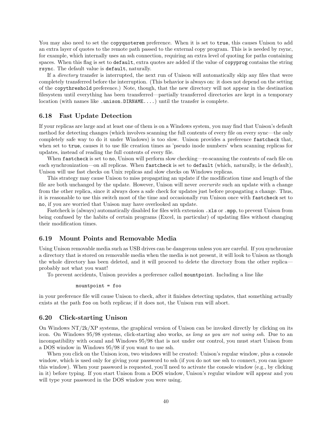You may also need to set the copyquoterem preference. When it is set to true, this causes Unison to add an extra layer of quotes to the remote path passed to the external copy program. This is is needed by rsync, for example, which internally uses an ssh connection, requiring an extra level of quoting for paths containing spaces. When this flag is set to default, extra quotes are added if the value of copyprog contains the string rsync. The default value is default, naturally.

If a directory transfer is interrupted, the next run of Unison will automatically skip any files that were completely transferred before the interruption. (This behavior is always on: it does not depend on the setting of the copythreshold preference.) Note, though, that the new directory will not appear in the destination filesystem until everything has been transferred—partially transferred directories are kept in a temporary location (with names like .unison.DIRNAME....) until the transfer is complete.

# 6.18 Fast Update Detection

If your replicas are large and at least one of them is on a Windows system, you may find that Unison's default method for detecting changes (which involves scanning the full contents of every file on every sync—the only completely safe way to do it under Windows) is too slow. Unison provides a preference fastcheck that, when set to true, causes it to use file creation times as 'pseudo inode numbers' when scanning replicas for updates, instead of reading the full contents of every file.

When fastcheck is set to no, Unison will perform slow checking—re-scanning the contents of each file on each synchronization—on all replicas. When fastcheck is set to default (which, naturally, is the default), Unison will use fast checks on Unix replicas and slow checks on Windows replicas.

This strategy may cause Unison to miss propagating an update if the modification time and length of the file are both unchanged by the update. However, Unison will never overwrite such an update with a change from the other replica, since it always does a safe check for updates just before propagating a change. Thus, it is reasonable to use this switch most of the time and occasionally run Unison once with fastcheck set to no, if you are worried that Unison may have overlooked an update.

Fastcheck is (always) automatically disabled for files with extension .xls or .mpp, to prevent Unison from being confused by the habits of certain programs (Excel, in particular) of updating files without changing their modification times.

## 6.19 Mount Points and Removable Media

Using Unison removable media such as USB drives can be dangerous unless you are careful. If you synchronize a directory that is stored on removable media when the media is not present, it will look to Unison as though the whole directory has been deleted, and it will proceed to delete the directory from the other replica probably not what you want!

To prevent accidents, Unison provides a preference called mountpoint. Including a line like

#### mountpoint = foo

in your preference file will cause Unison to check, after it finishes detecting updates, that something actually exists at the path foo on both replicas; if it does not, the Unison run will abort.

#### 6.20 Click-starting Unison

On Windows  $NT/2k/XP$  systems, the graphical version of Unison can be invoked directly by clicking on its icon. On Windows 95/98 systems, click-starting also works, as long as you are not using ssh. Due to an incompatibility with ocaml and Windows 95/98 that is not under our control, you must start Unison from a DOS window in Windows 95/98 if you want to use ssh.

When you click on the Unison icon, two windows will be created: Unison's regular window, plus a console window, which is used only for giving your password to ssh (if you do not use ssh to connect, you can ignore this window). When your password is requested, you'll need to activate the console window (e.g., by clicking in it) before typing. If you start Unison from a DOS window, Unison's regular window will appear and you will type your password in the DOS window you were using.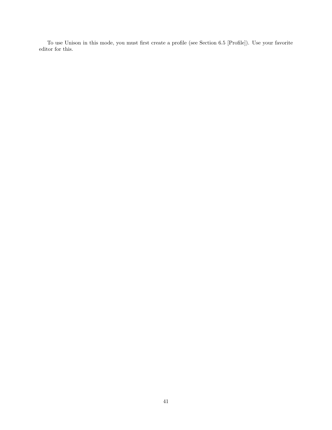To use Unison in this mode, you must first create a profile (see Section 6.5 [Profile]). Use your favorite editor for this.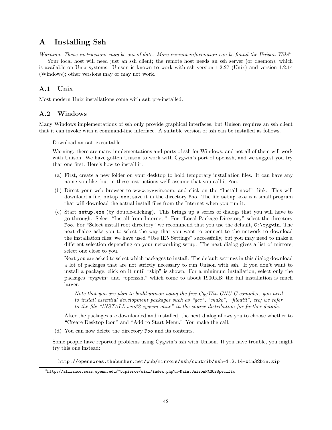# A Installing Ssh

Warning: These instructions may be out of date. More current information can be found the Unison Wiki<sup>4</sup>. Your local host will need just an ssh client; the remote host needs an ssh server (or daemon), which is available on Unix systems. Unison is known to work with ssh version 1.2.27 (Unix) and version 1.2.14 (Windows); other versions may or may not work.

# A.1 Unix

Most modern Unix installations come with ssh pre-installed.

# A.2 Windows

Many Windows implementations of ssh only provide graphical interfaces, but Unison requires an ssh client that it can invoke with a command-line interface. A suitable version of ssh can be installed as follows.

1. Download an ssh executable.

Warning: there are many implementations and ports of ssh for Windows, and not all of them will work with Unison. We have gotten Unison to work with Cygwin's port of openssh, and we suggest you try that one first. Here's how to install it:

- (a) First, create a new folder on your desktop to hold temporary installation files. It can have any name you like, but in these instructions we'll assume that you call it Foo.
- (b) Direct your web browser to www.cygwin.com, and click on the "Install now!" link. This will download a file, setup.exe; save it in the directory Foo. The file setup.exe is a small program that will download the actual install files from the Internet when you run it.
- (c) Start setup.exe (by double-clicking). This brings up a series of dialogs that you will have to go through. Select "Install from Internet." For "Local Package Directory" select the directory Foo. For "Select install root directory" we recommend that you use the default,  $C:\c{c}ygwin$ . The next dialog asks you to select the way that you want to connect to the network to download the installation files; we have used "Use IE5 Settings" successfully, but you may need to make a different selection depending on your networking setup. The next dialog gives a list of mirrors; select one close to you.

Next you are asked to select which packages to install. The default settings in this dialog download a lot of packages that are not strictly necessary to run Unison with ssh. If you don't want to install a package, click on it until "skip" is shown. For a minimum installation, select only the packages "cygwin" and "openssh," which come to about 1900KB; the full installation is much larger.

Note that you are plan to build unison using the free CygWin GNU C compiler, you need to install essential development packages such as "gcc", "make", "fileutil", etc; we refer to the file "INSTALL.win32-cygwin-gnuc" in the source distribution for further details.

After the packages are downloaded and installed, the next dialog allows you to choose whether to "Create Desktop Icon" and "Add to Start Menu." You make the call.

(d) You can now delete the directory Foo and its contents.

Some people have reported problems using Cygwin's ssh with Unison. If you have trouble, you might try this one instead:

http://opensores.thebunker.net/pub/mirrors/ssh/contrib/ssh-1.2.14-win32bin.zip

 $^4$ http://alliance.seas.upenn.edu/~bcpierce/wiki/index.php?n=Main.UnisonFAQOSSpecific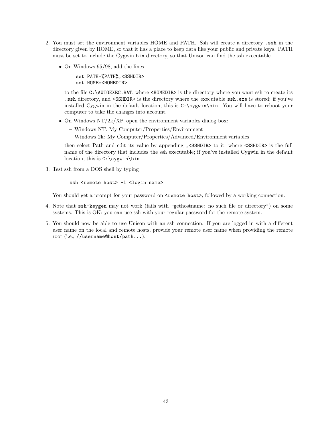- 2. You must set the environment variables HOME and PATH. Ssh will create a directory .ssh in the directory given by HOME, so that it has a place to keep data like your public and private keys. PATH must be set to include the Cygwin bin directory, so that Unison can find the ssh executable.
	- On Windows 95/98, add the lines

set PATH=%PATH%;<SSHDIR> set HOME=<HOMEDIR>

to the file C:\AUTOEXEC.BAT, where <HOMEDIR> is the directory where you want ssh to create its .ssh directory, and <SSHDIR> is the directory where the executable ssh.exe is stored; if you've installed Cygwin in the default location, this is  $C:\c{cygwin\binom{bin}{\text{row}}}\$ . You will have to reboot your computer to take the changes into account.

- On Windows NT/2k/XP, open the environment variables dialog box:
	- Windows NT: My Computer/Properties/Environment
	- Windows 2k: My Computer/Properties/Advanced/Environment variables

then select Path and edit its value by appending ;<SSHDIR> to it, where <SSHDIR> is the full name of the directory that includes the ssh executable; if you've installed Cygwin in the default location, this is C:\cygwin\bin.

3. Test ssh from a DOS shell by typing

```
ssh <remote host> -1 <login name>
```
You should get a prompt for your password on  $\epsilon$  remote host>, followed by a working connection.

- 4. Note that ssh-keygen may not work (fails with "gethostname: no such file or directory") on some systems. This is OK: you can use ssh with your regular password for the remote system.
- 5. You should now be able to use Unison with an ssh connection. If you are logged in with a different user name on the local and remote hosts, provide your remote user name when providing the remote root (i.e., //username@host/path...).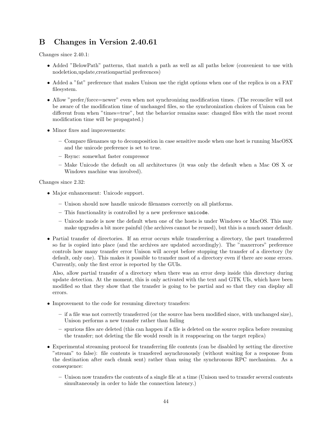# B Changes in Version 2.40.61

Changes since 2.40.1:

- Added "BelowPath" patterns, that match a path as well as all paths below (convenient to use with nodeletion,update,creationpartial preferences)
- Added a "fat" preference that makes Unison use the right options when one of the replica is on a FAT filesystem.
- Allow "prefer/force=newer" even when not synchronizing modification times. (The reconciler will not be aware of the modification time of unchanged files, so the synchronization choices of Unison can be different from when "times=true", but the behavior remains sane: changed files with the most recent modification time will be propagated.)
- Minor fixes and improvements:
	- Compare filenames up to decomposition in case sensitive mode when one host is running MacOSX and the unicode preference is set to true.
	- Rsync: somewhat faster compressor
	- Make Unicode the default on all architectures (it was only the default when a Mac OS X or Windows machine was involved).

Changes since 2.32:

- Major enhancement: Unicode support.
	- Unison should now handle unicode filenames correctly on all platforms.
	- This functionality is controlled by a new preference unicode.
	- Unicode mode is now the default when one of the hosts is under Windows or MacOS. This may make upgrades a bit more painful (the archives cannot be reused), but this is a much saner default.
- Partial transfer of directories. If an error occurs while transferring a directory, the part transferred so far is copied into place (and the archives are updated accordingly). The "maxerrors" preference controls how many transfer error Unison will accept before stopping the transfer of a directory (by default, only one). This makes it possible to transfer most of a directory even if there are some errors. Currently, only the first error is reported by the GUIs.

Also, allow partial transfer of a directory when there was an error deep inside this directory during update detection. At the moment, this is only activated with the text and GTK UIs, which have been modified so that they show that the transfer is going to be partial and so that they can display all errors.

- Improvement to the code for resuming directory transfers:
	- if a file was not correctly transferred (or the source has been modified since, with unchanged size), Unison performs a new transfer rather than failing
	- spurious files are deleted (this can happen if a file is deleted on the source replica before resuming the transfer; not deleting the file would result in it reappearing on the target replica)
- Experimental streaming protocol for transferring file contents (can be disabled by setting the directive "stream" to false): file contents is transfered asynchronously (without waiting for a response from the destination after each chunk sent) rather than using the synchronous RPC mechanism. As a consequence:
	- Unison now transfers the contents of a single file at a time (Unison used to transfer several contents simultaneously in order to hide the connection latency.)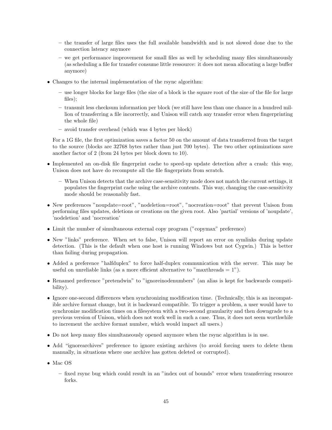- the transfer of large files uses the full available bandwidth and is not slowed done due to the connection latency anymore
- we get performance improvement for small files as well by scheduling many files simultaneously (as scheduling a file for transfer consume little ressource: it does not mean allocating a large buffer anymore)
- Changes to the internal implementation of the rsync algorithm:
	- use longer blocks for large files (the size of a block is the square root of the size of the file for large files);
	- transmit less checksum information per block (we still have less than one chance in a hundred million of transferring a file incorrectly, and Unison will catch any transfer error when fingerprinting the whole file)
	- avoid transfer overhead (which was 4 bytes per block)

For a 1G file, the first optimization saves a factor 50 on the amount of data transferred from the target to the source (blocks are 32768 bytes rather than just 700 bytes). The two other optimizations save another factor of 2 (from 24 bytes per block down to 10).

- Implemented an on-disk file fingerprint cache to speed-up update detection after a crash: this way, Unison does not have do recompute all the file fingerprints from scratch.
	- When Unison detects that the archive case-sensitivity mode does not match the current settings, it populates the fingerprint cache using the archive contents. This way, changing the case-sensitivity mode should be reasonably fast.
- New preferences "noupdate=root", "nodeletion=root", "nocreation=root" that prevent Unison from performing files updates, deletions or creations on the given root. Also 'partial' versions of 'noupdate', 'nodeletion' and 'nocreation'
- Limit the number of simultaneous external copy program ("copymax" preference)
- New "links" preference. When set to false, Unison will report an error on symlinks during update detection. (This is the default when one host is running Windows but not Cygwin.) This is better than failing during propagation.
- Added a preference "halfduplex" to force half-duplex communication with the server. This may be useful on unreliable links (as a more efficient alternative to "maxthreads  $= 1$ ").
- Renamed preference "pretendwin" to "ignoreinodenumbers" (an alias is kept for backwards compatibility).
- Ignore one-second differences when synchronizing modification time. (Technically, this is an incompatible archive format change, but it is backward compatible. To trigger a problem, a user would have to synchronize modification times on a filesystem with a two-second granularity and then downgrade to a previous version of Unison, which does not work well in such a case. Thus, it does not seem worthwhile to increment the archive format number, which would impact all users.)
- Do not keep many files simultaneously opened anymore when the rsync algorithm is in use.
- Add "ignorearchives" preference to ignore existing archives (to avoid forcing users to delete them manually, in situations where one archive has gotten deleted or corrupted).
- Mac OS
	- fixed rsync bug which could result in an "index out of bounds" error when transferring resource forks.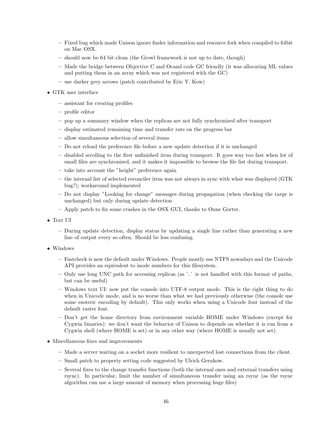- Fixed bug which made Unison ignore finder information and resource fork when compiled to 64bit on Mac OSX.
- should now be 64 bit clean (the Growl framework is not up to date, though)
- Made the bridge between Objective C and Ocaml code GC friendly (it was allocating ML values and putting them in an array which was not registered with the GC)
- use darker grey arrows (patch contributed by Eric Y. Kow)
- GTK user interface
	- assistant for creating profiles
	- profile editor
	- pop up a summary window when the replicas are not fully synchronized after transport
	- display estimated remaining time and transfer rate on the progress bar
	- allow simultaneous selection of several items
	- Do not reload the preference file before a new update detection if it is unchanged
	- disabled scrolling to the first unfinished item during transport. It goes way too fast when lot of small files are synchronized, and it makes it impossible to browse the file list during transport.
	- take into account the "height" preference again
	- the internal list of selected reconciler item was not always in sync with what was displayed (GTK bug?); workaround implemented
	- Do not display "Looking for change" messages during propagation (when checking the targe is unchanged) but only during update detection
	- Apply patch to fix some crashes in the OSX GUI, thanks to Onne Gorter.
- Text UI
	- During update detection, display status by updating a single line rather than generating a new line of output every so often. Should be less confusing.
- Windows
	- Fastcheck is now the default under Windows. People mostly use NTFS nowadays and the Unicode API provides an equivalent to inode numbers for this filesystem.
	- Only use long UNC path for accessing replicas (as '..' is not handled with this format of paths, but can be useful)
	- Windows text UI: now put the console into UTF-8 output mode. This is the right thing to do when in Unicode mode, and is no worse than what we had previously otherwise (the console use some esoteric encoding by default). This only works when using a Unicode font instead of the default raster font.
	- Don't get the home directory from environment variable HOME under Windows (except for Cygwin binaries): we don't want the behavior of Unison to depends on whether it is run from a Cygwin shell (where HOME is set) or in any other way (where HOME is usually not set).
- Miscellaneous fixes and improvements
	- Made a server waiting on a socket more resilient to unexpected lost connections from the client.
	- Small patch to property setting code suggested by Ulrich Gernkow.
	- Several fixes to the change transfer functions (both the internal ones and external transfers using rsync). In particular, limit the number of simultaneous transfer using an rsync (as the rsync algorithm can use a large amount of memory when processing huge files)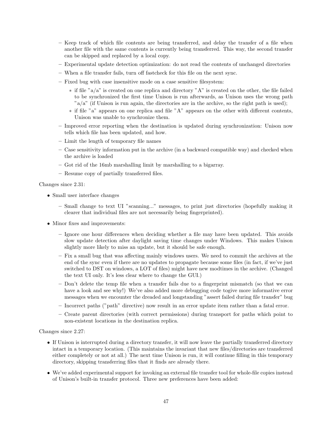- Keep track of which file contents are being transferred, and delay the transfer of a file when another file with the same contents is currently being transferred. This way, the second transfer can be skipped and replaced by a local copy.
- Experimental update detection optimization: do not read the contents of unchanged directories
- When a file transfer fails, turn off fastcheck for this file on the next sync.
- Fixed bug with case insensitive mode on a case sensitive filesystem:
	- ∗ if file "a/a" is created on one replica and directory "A" is created on the other, the file failed to be synchronized the first time Unison is run afterwards, as Unison uses the wrong path  $a/a$ " (if Unison is run again, the directories are in the archive, so the right path is used);
	- ∗ if file "a" appears on one replica and file "A" appears on the other with different contents, Unison was unable to synchronize them.
- Improved error reporting when the destination is updated during synchronization: Unison now tells which file has been updated, and how.
- Limit the length of temporary file names
- Case sensitivity information put in the archive (in a backward compatible way) and checked when the archive is loaded
- Got rid of the 16mb marshalling limit by marshalling to a bigarray.
- Resume copy of partially transferred files.

Changes since 2.31:

- Small user interface changes
	- Small change to text UI "scanning..." messages, to print just directories (hopefully making it clearer that individual files are not necessarily being fingerprinted).
- Minor fixes and improvements:
	- Ignore one hour differences when deciding whether a file may have been updated. This avoids slow update detection after daylight saving time changes under Windows. This makes Unison slightly more likely to miss an update, but it should be safe enough.
	- Fix a small bug that was affecting mainly windows users. We need to commit the archives at the end of the sync even if there are no updates to propagate because some files (in fact, if we've just switched to DST on windows, a LOT of files) might have new modtimes in the archive. (Changed the text UI only. It's less clear where to change the GUI.)
	- Don't delete the temp file when a transfer fails due to a fingerprint mismatch (so that we can have a look and see why!) We've also added more debugging code togive more informative error messages when we encounter the dreaded and longstanding "assert failed during file transfer" bug
	- Incorrect paths ("path" directive) now result in an error update item rather than a fatal error.
	- Create parent directories (with correct permissions) during transport for paths which point to non-existent locations in the destination replica.

Changes since 2.27:

- If Unison is interrupted during a directory transfer, it will now leave the partially transferred directory intact in a temporary location. (This maintains the invariant that new files/directories are transferred either completely or not at all.) The next time Unison is run, it will continue filling in this temporary directory, skipping transferring files that it finds are already there.
- We've added experimental support for invoking an external file transfer tool for whole-file copies instead of Unison's built-in transfer protocol. Three new preferences have been added: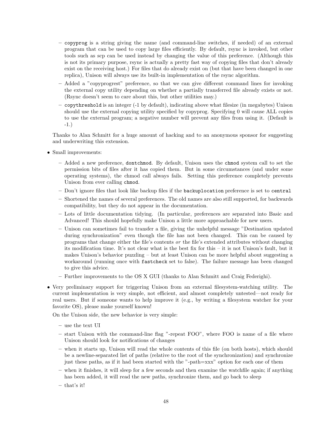- copyprog is a string giving the name (and command-line switches, if needed) of an external program that can be used to copy large files efficiently. By default, rsync is invoked, but other tools such as scp can be used instead by changing the value of this preference. (Although this is not its primary purpose, rsync is actually a pretty fast way of copying files that don't already exist on the receiving host.) For files that do already exist on (but that have been changed in one replica), Unison will always use its built-in implementation of the rsync algorithm.
- Added a "copyprogrest" preference, so that we can give different command lines for invoking the external copy utility depending on whether a partially transferred file already exists or not. (Rsync doesn't seem to care about this, but other utilities may.)
- copythreshold is an integer (-1 by default), indicating above what filesize (in megabytes) Unison should use the external copying utility specified by copyprog. Specifying 0 will cause ALL copies to use the external program; a negative number will prevent any files from using it. (Default is -1.)

Thanks to Alan Schmitt for a huge amount of hacking and to an anonymous sponsor for suggesting and underwriting this extension.

- Small improvements:
	- Added a new preference, dontchmod. By default, Unison uses the chmod system call to set the permission bits of files after it has copied them. But in some circumstances (and under some operating systems), the chmod call always fails. Setting this preference completely prevents Unison from ever calling chmod.
	- Don't ignore files that look like backup files if the backuplocation preference is set to central
	- Shortened the names of several preferences. The old names are also still supported, for backwards compatibility, but they do not appear in the documentation.
	- Lots of little documentation tidying. (In particular, preferences are separated into Basic and Advanced! This should hopefully make Unison a little more approachable for new users.
	- Unison can sometimes fail to transfer a file, giving the unhelpful message "Destination updated during synchronization" even though the file has not been changed. This can be caused by programs that change either the file's contents or the file's extended attributes without changing its modification time. It's not clear what is the best fix for this – it is not Unison's fault, but it makes Unison's behavior puzzling – but at least Unison can be more helpful about suggesting a workaround (running once with fastcheck set to false). The failure message has been changed to give this advice.
	- Further improvements to the OS X GUI (thanks to Alan Schmitt and Craig Federighi).
- Very preliminary support for triggering Unison from an external filesystem-watching utility. The current implementation is very simple, not efficient, and almost completely untested—not ready for real users. But if someone wants to help improve it (e.g., by writing a filesystem watcher for your favorite OS), please make yourself known!

On the Unison side, the new behavior is very simple:

- use the text UI
- start Unison with the command-line flag "-repeat FOO", where FOO is name of a file where Unison should look for notifications of changes
- when it starts up, Unison will read the whole contents of this file (on both hosts), which should be a newline-separated list of paths (relative to the root of the synchronization) and synchronize just these paths, as if it had been started with the "-path=xxx" option for each one of them
- when it finishes, it will sleep for a few seconds and then examine the watchfile again; if anything has been added, it will read the new paths, synchronize them, and go back to sleep
- that's it!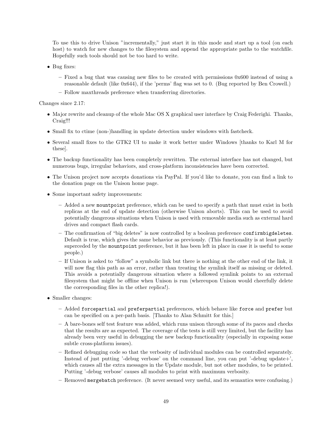To use this to drive Unison "incrementally," just start it in this mode and start up a tool (on each host) to watch for new changes to the filesystem and append the appropriate paths to the watchfile. Hopefully such tools should not be too hard to write.

- Bug fixes:
	- $-$  Fixed a bug that was causing new files to be created with permissions  $0x600$  instead of using a reasonable default (like 0x644), if the 'perms' flag was set to 0. (Bug reported by Ben Crowell.)
	- Follow maxthreads preference when transferring directories.

Changes since 2.17:

- Major rewrite and cleanup of the whole Mac OS X graphical user interface by Craig Federighi. Thanks, Craig!!!
- Small fix to ctime (non-)handling in update detection under windows with fastcheck.
- Several small fixes to the GTK2 UI to make it work better under Windows [thanks to Karl M for these].
- The backup functionality has been completely rewritten. The external interface has not changed, but numerous bugs, irregular behaviors, and cross-platform inconsistencies have been corrected.
- The Unison project now accepts donations via PayPal. If you'd like to donate, you can find a link to the donation page on the Unison home page.
- Some important safety improvements:
	- Added a new mountpoint preference, which can be used to specify a path that must exist in both replicas at the end of update detection (otherwise Unison aborts). This can be used to avoid potentially dangerous situations when Unison is used with removable media such as external hard drives and compact flash cards.
	- The confirmation of "big deletes" is now controlled by a boolean preference confirmbigdeletes. Default is true, which gives the same behavior as previously. (This functionality is at least partly superceded by the mountpoint preference, but it has been left in place in case it is useful to some people.)
	- If Unison is asked to "follow" a symbolic link but there is nothing at the other end of the link, it will now flag this path as an error, rather than treating the symlink itself as missing or deleted. This avoids a potentially dangerous situation where a followed symlink points to an external filesystem that might be offline when Unison is run (whereupon Unison would cheerfully delete the corresponding files in the other replica!).
- Smaller changes:
	- Added forcepartial and preferpartial preferences, which behave like force and prefer but can be specified on a per-path basis. [Thanks to Alan Schmitt for this.]
	- A bare-bones self test feature was added, which runs unison through some of its paces and checks that the results are as expected. The coverage of the tests is still very limited, but the facility has already been very useful in debugging the new backup functionality (especially in exposing some subtle cross-platform issues).
	- Refined debugging code so that the verbosity of individual modules can be controlled separately. Instead of just putting '-debug verbose' on the command line, you can put '-debug update+', which causes all the extra messages in the Update module, but not other modules, to be printed. Putting '-debug verbose' causes all modules to print with maximum verbosity.
	- Removed mergebatch preference. (It never seemed very useful, and its semantics were confusing.)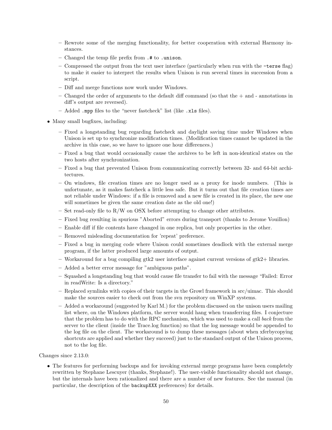- Rewrote some of the merging functionality, for better cooperation with external Harmony instances.
- Changed the temp file prefix from .# to .unison.
- Compressed the output from the text user interface (particularly when run with the -terse flag) to make it easier to interpret the results when Unison is run several times in succession from a script.
- Diff and merge functions now work under Windows.
- Changed the order of arguments to the default diff command (so that the + and annotations in diff's output are reversed).
- Added .mpp files to the "never fastcheck" list (like .xls files).
- Many small bugfixes, including:
	- Fixed a longstanding bug regarding fastcheck and daylight saving time under Windows when Unison is set up to synchronize modification times. (Modification times cannot be updated in the archive in this case, so we have to ignore one hour differences.)
	- Fixed a bug that would occasionally cause the archives to be left in non-identical states on the two hosts after synchronization.
	- Fixed a bug that prevented Unison from communicating correctly between 32- and 64-bit architectures.
	- On windows, file creation times are no longer used as a proxy for inode numbers. (This is unfortunate, as it makes fastcheck a little less safe. But it turns out that file creation times are not reliable under Windows: if a file is removed and a new file is created in its place, the new one will sometimes be given the same creation date as the old one!)
	- Set read-only file to  $R/W$  on OSX before attempting to change other attributes.
	- Fixed bug resulting in spurious "Aborted" errors during transport (thanks to Jerome Vouillon)
	- Enable diff if file contents have changed in one replica, but only properties in the other.
	- Removed misleading documentation for 'repeat' preference.
	- Fixed a bug in merging code where Unison could sometimes deadlock with the external merge program, if the latter produced large amounts of output.
	- $-$  Workaround for a bug compiling gtk2 user interface against current versions of gtk2+ libraries.
	- Added a better error message for "ambiguous paths".
	- Squashed a longstanding bug that would cause file transfer to fail with the message "Failed: Error in readWrite: Is a directory."
	- Replaced symlinks with copies of their targets in the Growl framework in src/uimac. This should make the sources easier to check out from the svn repository on WinXP systems.
	- Added a workaround (suggested by Karl M.) for the problem discussed on the unison users mailing list where, on the Windows platform, the server would hang when transferring files. I conjecture that the problem has to do with the RPC mechanism, which was used to make a call back from the server to the client (inside the Trace.log function) so that the log message would be appended to the log file on the client. The workaround is to dump these messages (about when xferbycopying shortcuts are applied and whether they succeed) just to the standard output of the Unison process, not to the log file.

Changes since 2.13.0:

• The features for performing backups and for invoking external merge programs have been completely rewritten by Stephane Lescuyer (thanks, Stephane!). The user-visible functionality should not change, but the internals have been rationalized and there are a number of new features. See the manual (in particular, the description of the backupXXX preferences) for details.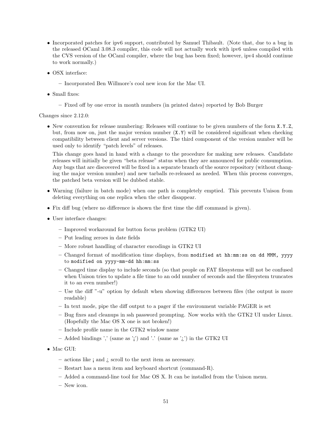- Incorporated patches for ipv6 support, contributed by Samuel Thibault. (Note that, due to a bug in the released OCaml 3.08.3 compiler, this code will not actually work with ipv6 unless compiled with the CVS version of the OCaml compiler, where the bug has been fixed; however, ipv4 should continue to work normally.)
- OSX interface:
	- Incorporated Ben Willmore's cool new icon for the Mac UI.
- Small fixes:
	- Fixed off by one error in month numbers (in printed dates) reported by Bob Burger

Changes since 2.12.0:

• New convention for release numbering: Releases will continue to be given numbers of the form X.Y.Z, but, from now on, just the major version number  $(X, Y)$  will be considered significant when checking compatibility between client and server versions. The third component of the version number will be used only to identify "patch levels" of releases.

This change goes hand in hand with a change to the procedure for making new releases. Candidate releases will initially be given "beta release" status when they are announced for public consumption. Any bugs that are discovered will be fixed in a separate branch of the source repository (without changing the major version number) and new tarballs re-released as needed. When this process converges, the patched beta version will be dubbed stable.

- Warning (failure in batch mode) when one path is completely emptied. This prevents Unison from deleting everything on one replica when the other disappear.
- Fix diff bug (where no difference is shown the first time the diff command is given).
- User interface changes:
	- Improved workaround for button focus problem (GTK2 UI)
	- Put leading zeroes in date fields
	- More robust handling of character encodings in GTK2 UI
	- Changed format of modification time displays, from modified at hh:mm:ss on dd MMM,  $\gamma \gamma \gamma$ to modified on yyyy-mm-dd hh:mm:ss
	- Changed time display to include seconds (so that people on FAT filesystems will not be confused when Unison tries to update a file time to an odd number of seconds and the filesystem truncates it to an even number!)
	- Use the diff "-u" option by default when showing differences between files (the output is more readable)
	- In text mode, pipe the diff output to a pager if the environment variable PAGER is set
	- Bug fixes and cleanups in ssh password prompting. Now works with the GTK2 UI under Linux. (Hopefully the Mac OS X one is not broken!)
	- Include profile name in the GTK2 window name
	- Added bindings ',' (same as '¡') and '.' (same as '¿') in the GTK2 UI
- Mac GUI:
	- actions like ¡ and ¿ scroll to the next item as necessary.
	- Restart has a menu item and keyboard shortcut (command-R).
	- Added a command-line tool for Mac OS X. It can be installed from the Unison menu.
	- New icon.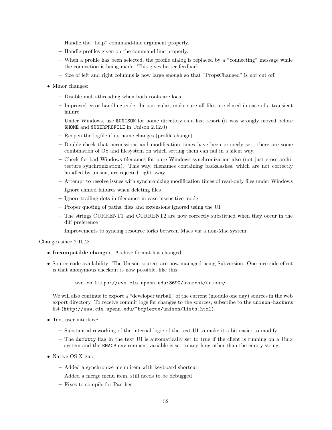- Handle the "help" command-line argument properly.
- Handle profiles given on the command line properly.
- When a profile has been selected, the profile dialog is replaced by a "connecting" message while the connection is being made. This gives better feedback.
- Size of left and right columns is now large enough so that "PropsChanged" is not cut off.
- Minor changes:
	- Disable multi-threading when both roots are local
	- Improved error handling code. In particular, make sure all files are closed in case of a transient failure
	- Under Windows, use \$UNISON for home directory as a last resort (it was wrongly moved before \$HOME and \$USERPROFILE in Unison 2.12.0)
	- Reopen the logfile if its name changes (profile change)
	- Double-check that permissions and modification times have been properly set: there are some combination of OS and filesystem on which setting them can fail in a silent way.
	- Check for bad Windows filenames for pure Windows synchronization also (not just cross architecture synchronization). This way, filenames containing backslashes, which are not correctly handled by unison, are rejected right away.
	- Attempt to resolve issues with synchronizing modification times of read-only files under Windows
	- Ignore chmod failures when deleting files
	- Ignore trailing dots in filenames in case insensitive mode
	- Proper quoting of paths, files and extensions ignored using the UI
	- The strings CURRENT1 and CURRENT2 are now correctly substitued when they occur in the diff preference
	- Improvements to syncing resource forks between Macs via a non-Mac system.

Changes since 2.10.2:

- Incompatible change: Archive format has changed.
- Source code availability: The Unison sources are now managed using Subversion. One nice side-effect is that anonymous checkout is now possible, like this:

svn co https://cvs.cis.upenn.edu:3690/svnroot/unison/

We will also continue to export a "developer tarball" of the current (modulo one day) sources in the web export directory. To receive commit logs for changes to the sources, subscribe to the unison-hackers list (http://www.cis.upenn.edu/~bcpierce/unison/lists.html).

- Text user interface:
	- Substantial reworking of the internal logic of the text UI to make it a bit easier to modify.
	- The dumbtty flag in the text UI is automatically set to true if the client is running on a Unix system and the EMACS environment variable is set to anything other than the empty string.
- Native OS X gui:
	- Added a synchronize menu item with keyboard shortcut
	- Added a merge menu item, still needs to be debugged
	- Fixes to compile for Panther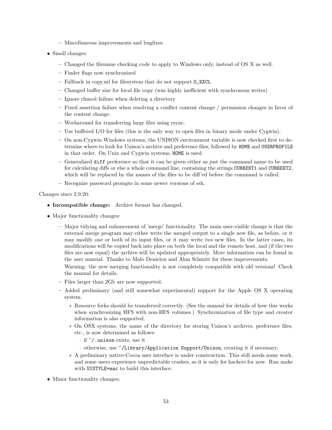- Miscellaneous improvements and bugfixes
- Small changes:
	- Changed the filename checking code to apply to Windows only, instead of OS X as well.
	- Finder flags now synchronized
	- Fallback in copy.ml for filesystem that do not support O\_EXCL
	- Changed buffer size for local file copy (was highly inefficient with synchronous writes)
	- Ignore chmod failure when deleting a directory
	- Fixed assertion failure when resolving a conflict content change / permission changes in favor of the content change.
	- Workaround for transferring large files using rsync.
	- Use buffered I/O for files (this is the only way to open files in binary mode under Cygwin).
	- On non-Cygwin Windows systems, the UNISON environment variable is now checked first to determine where to look for Unison's archive and preference files, followed by HOME and USERPROFILE in that order. On Unix and Cygwin systems, HOME is used.
	- Generalized diff preference so that it can be given either as just the command name to be used for calculating diffs or else a whole command line, containing the strings CURRENT1 and CURRENT2, which will be replaced by the names of the files to be diff'ed before the command is called.
	- Recognize password prompts in some newer versions of ssh.

Changes since 2.9.20:

- Incompatible change: Archive format has changed.
- Major functionality changes:
	- Major tidying and enhancement of 'merge' functionality. The main user-visible change is that the external merge program may either write the merged output to a single new file, as before, or it may modify one or both of its input files, or it may write two new files. In the latter cases, its modifications will be copied back into place on both the local and the remote host, and (if the two files are now equal) the archive will be updated appropriately. More information can be found in the user manual. Thanks to Malo Denielou and Alan Schmitt for these improvements.

Warning: the new merging functionality is not completely compatible with old versions! Check the manual for details.

- Files larger than 2Gb are now supported.
- Added preliminary (and still somewhat experimental) support for the Apple OS X operating system.
	- ∗ Resource forks should be transferred correctly. (See the manual for details of how this works when synchronizing HFS with non-HFS volumes.) Synchronization of file type and creator information is also supported.
	- ∗ On OSX systems, the name of the directory for storing Unison's archives, preference files, etc., is now determined as follows:
		- · if ~/.unison exists, use it
		- · otherwise, use ~/Library/Application Support/Unison, creating it if necessary.
	- ∗ A preliminary native-Cocoa user interface is under construction. This still needs some work, and some users experience unpredictable crashes, so it is only for hackers for now. Run make with UISTYLE=mac to build this interface.
- Minor functionality changes: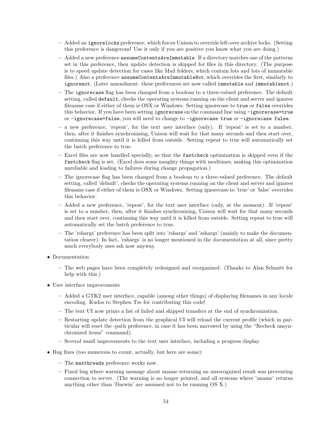- Added an ignorelocks preference, which forces Unison to override left-over archive locks. (Setting this preference is dangerous! Use it only if you are positive you know what you are doing.)
- Added a new preference assumeContentsAreImmutable. If a directory matches one of the patterns set in this preference, then update detection is skipped for files in this directory. (The purpose is to speed update detection for cases like Mail folders, which contain lots and lots of immutable files.) Also a preference assumeContentsAreImmutableNot, which overrides the first, similarly to ignorenot. (Later amendment: these preferences are now called immutable and immutablenot.)
- The ignorecase flag has been changed from a boolean to a three-valued preference. The default setting, called default, checks the operating systems running on the client and server and ignores filename case if either of them is OSX or Windows. Setting ignorecase to true or false overrides this behavior. If you have been setting ignorecase on the command line using -ignorecase=true or -ignorecase=false, you will need to change to -ignorecase true or -ignorecase false.
- a new preference, 'repeat', for the text user interface (only). If 'repeat' is set to a number, then, after it finishes synchronizing, Unison will wait for that many seconds and then start over, continuing this way until it is killed from outside. Setting repeat to true will automatically set the batch preference to true.
- Excel files are now handled specially, so that the fastcheck optimization is skipped even if the fastcheck flag is set. (Excel does some naughty things with modtimes, making this optimization unreliable and leading to failures during change propagation.)
- The ignorecase flag has been changed from a boolean to a three-valued preference. The default setting, called 'default', checks the operating systems running on the client and server and ignores filename case if either of them is OSX or Windows. Setting ignorecase to 'true' or 'false' overrides this behavior.
- Added a new preference, 'repeat', for the text user interface (only, at the moment). If 'repeat' is set to a number, then, after it finishes synchronizing, Unison will wait for that many seconds and then start over, continuing this way until it is killed from outside. Setting repeat to true will automatically set the batch preference to true.
- The 'rshargs' preference has been split into 'rshargs' and 'sshargs' (mainly to make the documentation clearer). In fact, 'rshargs' is no longer mentioned in the documentation at all, since pretty much everybody uses ssh now anyway.
- Documentation
	- The web pages have been completely redesigned and reorganized. (Thanks to Alan Schmitt for help with this.)
- User interface improvements
	- Added a GTK2 user interface, capable (among other things) of displaying filenames in any locale encoding. Kudos to Stephen Tse for contributing this code!
	- The text UI now prints a list of failed and skipped transfers at the end of synchronization.
	- Restarting update detection from the graphical UI will reload the current profile (which in particular will reset the -path preference, in case it has been narrowed by using the "Recheck unsynchronized items" command).
	- Several small improvements to the text user interface, including a progress display.
- Bug fixes (too numerous to count, actually, but here are some):
	- The maxthreads preference works now.
	- Fixed bug where warning message about uname returning an unrecognized result was preventing connection to server. (The warning is no longer printed, and all systems where 'uname' returns anything other than 'Darwin' are assumed not to be running OS X.)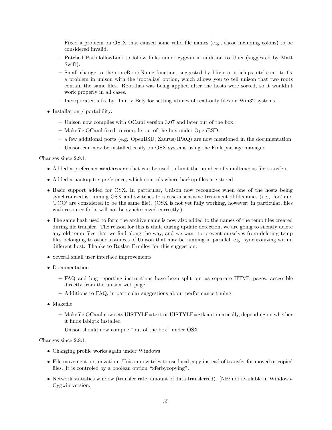- Fixed a problem on OS X that caused some valid file names (e.g., those including colons) to be considered invalid.
- Patched Path.followLink to follow links under cygwin in addition to Unix (suggested by Matt Swift).
- Small change to the storeRootsName function, suggested by bliviero at ichips.intel.com, to fix a problem in unison with the 'rootalias' option, which allows you to tell unison that two roots contain the same files. Rootalias was being applied after the hosts were sorted, so it wouldn't work properly in all cases.
- Incorporated a fix by Dmitry Bely for setting utimes of read-only files on Win32 systems.
- Installation / portability:
	- Unison now compiles with OCaml version 3.07 and later out of the box.
	- Makefile.OCaml fixed to compile out of the box under OpenBSD.
	- a few additional ports (e.g. OpenBSD, Zaurus/IPAQ) are now mentioned in the documentation
	- Unison can now be installed easily on OSX systems using the Fink package manager

Changes since 2.9.1:

- Added a preference maxthreads that can be used to limit the number of simultaneous file transfers.
- Added a backupdir preference, which controls where backup files are stored.
- Basic support added for OSX. In particular, Unison now recognizes when one of the hosts being synchronized is running OSX and switches to a case-insensitive treatment of filenames (i.e., 'foo' and 'FOO' are considered to be the same file). (OSX is not yet fully working, however: in particular, files with resource forks will not be synchronized correctly.)
- The same hash used to form the archive name is now also added to the names of the temp files created during file transfer. The reason for this is that, during update detection, we are going to silently delete any old temp files that we find along the way, and we want to prevent ourselves from deleting temp files belonging to other instances of Unison that may be running in parallel, e.g. synchronizing with a different host. Thanks to Ruslan Ermilov for this suggestion.
- Several small user interface improvements
- Documentation
	- FAQ and bug reporting instructions have been split out as separate HTML pages, accessible directly from the unison web page.
	- Additions to FAQ, in particular suggestions about performance tuning.
- Makefile
	- Makefile.OCaml now sets UISTYLE=text or UISTYLE=gtk automatically, depending on whether it finds lablgtk installed
	- Unison should now compile "out of the box" under OSX

Changes since 2.8.1:

- Changing profile works again under Windows
- File movement optimization: Unison now tries to use local copy instead of transfer for moved or copied files. It is controled by a boolean option "xferbycopying".
- Network statistics window (transfer rate, amount of data transferred). [NB: not available in Windows-Cygwin version.]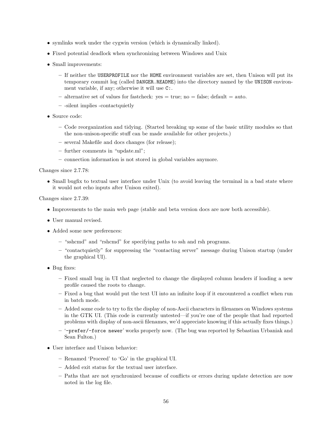- symlinks work under the cygwin version (which is dynamically linked).
- Fixed potential deadlock when synchronizing between Windows and Unix
- Small improvements:
	- If neither the USERPROFILE nor the HOME environment variables are set, then Unison will put its temporary commit log (called DANGER.README) into the directory named by the UNISON environment variable, if any; otherwise it will use C:.
	- $-$  alternative set of values for fastcheck: yes  $=$  true; no  $=$  false; default  $=$  auto.
	- -silent implies -contactquietly
- Source code:
	- Code reorganization and tidying. (Started breaking up some of the basic utility modules so that the non-unison-specific stuff can be made available for other projects.)
	- several Makefile and docs changes (for release);
	- further comments in "update.ml";
	- connection information is not stored in global variables anymore.

Changes since 2.7.78:

• Small bugfix to textual user interface under Unix (to avoid leaving the terminal in a bad state where it would not echo inputs after Unison exited).

Changes since 2.7.39:

- Improvements to the main web page (stable and beta version docs are now both accessible).
- User manual revised.
- Added some new preferences:
	- "sshcmd" and "rshcmd" for specifying paths to ssh and rsh programs.
	- "contactquietly" for suppressing the "contacting server" message during Unison startup (under the graphical UI).
- Bug fixes:
	- Fixed small bug in UI that neglected to change the displayed column headers if loading a new profile caused the roots to change.
	- Fixed a bug that would put the text UI into an infinite loop if it encountered a conflict when run in batch mode.
	- Added some code to try to fix the display of non-Ascii characters in filenames on Windows systems in the GTK UI. (This code is currently untested—if you're one of the people that had reported problems with display of non-ascii filenames, we'd appreciate knowing if this actually fixes things.)
	- '-prefer/-force newer' works properly now. (The bug was reported by Sebastian Urbaniak and Sean Fulton.)
- User interface and Unison behavior:
	- Renamed 'Proceed' to 'Go' in the graphical UI.
	- Added exit status for the textual user interface.
	- Paths that are not synchronized because of conflicts or errors during update detection are now noted in the log file.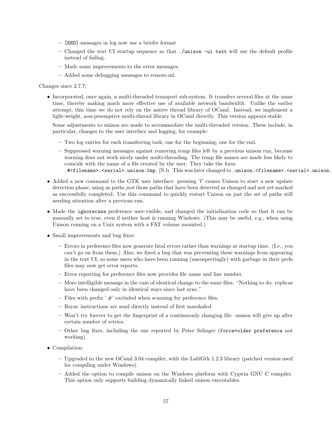- [END] messages in log now use a briefer format
- Changed the text UI startup sequence so that ./unison -ui text will use the default profile instead of failing.
- Made some improvements to the error messages.
- Added some debugging messages to remote.ml.

#### Changes since 2.7.7:

• Incorporated, once again, a multi-threaded transport sub-system. It transfers several files at the same time, thereby making much more effective use of available network bandwidth. Unlike the earlier attempt, this time we do not rely on the native thread library of OCaml. Instead, we implement a light-weight, non-preemptive multi-thread library in OCaml directly. This version appears stable.

Some adjustments to unison are made to accommodate the multi-threaded version. These include, in particular, changes to the user interface and logging, for example:

- Two log entries for each transferring task, one for the beginning, one for the end.
- Suppressed warning messages against removing temp files left by a previous unison run, because warning does not work nicely under multi-threading. The temp file names are made less likely to coincide with the name of a file created by the user. They take the form .#<filename>.<serial>.unison.tmp. [N.b. This was later changed to .unison.<filename>.<serial>.unison.t
- Added a new command to the GTK user interface: pressing 'f' causes Unison to start a new update detection phase, using as paths just those paths that have been detected as changed and not yet marked as successfully completed. Use this command to quickly restart Unison on just the set of paths still needing attention after a previous run.
- Made the ignorecase preference user-visible, and changed the initialization code so that it can be manually set to true, even if neither host is running Windows. (This may be useful, e.g., when using Unison running on a Unix system with a FAT volume mounted.)
- Small improvements and bug fixes:
	- Errors in preference files now generate fatal errors rather than warnings at startup time. (I.e., you can't go on from them.) Also, we fixed a bug that was preventing these warnings from appearing in the text UI, so some users who have been running (unsuspectingly) with garbage in their prefs files may now get error reports.
	- Error reporting for preference files now provides file name and line number.
	- More intelligible message in the case of identical change to the same files: "Nothing to do: replicas have been changed only in identical ways since last sync."
	- Files with prefix  $\cdot \#$  excluded when scanning for preference files.
	- Rsync instructions are send directly instead of first marshaled.
	- Won't try forever to get the fingerprint of a continuously changing file: unison will give up after certain number of retries.
	- Other bug fixes, including the one reported by Peter Selinger (force=older preference not working).
- Compilation:
	- Upgraded to the new OCaml 3.04 compiler, with the LablGtk 1.2.3 library (patched version used for compiling under Windows).
	- Added the option to compile unison on the Windows platform with Cygwin GNU C compiler. This option only supports building dynamically linked unison executables.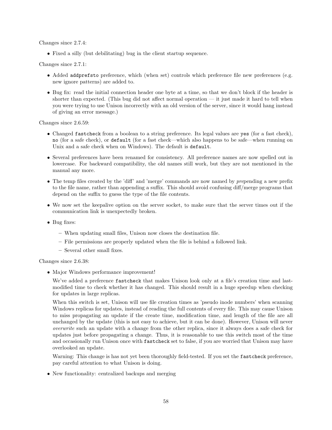Changes since 2.7.4:

• Fixed a silly (but debilitating) bug in the client startup sequence.

Changes since 2.7.1:

- Added addprefsto preference, which (when set) controls which preference file new preferences (e.g. new ignore patterns) are added to.
- Bug fix: read the initial connection header one byte at a time, so that we don't block if the header is shorter than expected. (This bug did not affect normal operation — it just made it hard to tell when you were trying to use Unison incorrectly with an old version of the server, since it would hang instead of giving an error message.)

Changes since 2.6.59:

- Changed fastcheck from a boolean to a string preference. Its legal values are yes (for a fast check), no (for a safe check), or default (for a fast check—which also happens to be safe—when running on Unix and a safe check when on Windows). The default is default.
- Several preferences have been renamed for consistency. All preference names are now spelled out in lowercase. For backward compatibility, the old names still work, but they are not mentioned in the manual any more.
- The temp files created by the 'diff' and 'merge' commands are now named by prepending a new prefix to the file name, rather than appending a suffix. This should avoid confusing diff/merge programs that depend on the suffix to guess the type of the file contents.
- We now set the keepalive option on the server socket, to make sure that the server times out if the communication link is unexpectedly broken.
- Bug fixes:
	- When updating small files, Unison now closes the destination file.
	- File permissions are properly updated when the file is behind a followed link.
	- Several other small fixes.

Changes since 2.6.38:

• Major Windows performance improvement!

We've added a preference fastcheck that makes Unison look only at a file's creation time and lastmodified time to check whether it has changed. This should result in a huge speedup when checking for updates in large replicas.

When this switch is set, Unison will use file creation times as 'pseudo inode numbers' when scanning Windows replicas for updates, instead of reading the full contents of every file. This may cause Unison to miss propagating an update if the create time, modification time, and length of the file are all unchanged by the update (this is not easy to achieve, but it can be done). However, Unison will never overwrite such an update with a change from the other replica, since it always does a safe check for updates just before propagating a change. Thus, it is reasonable to use this switch most of the time and occasionally run Unison once with fastcheck set to false, if you are worried that Unison may have overlooked an update.

Warning: This change is has not yet been thoroughly field-tested. If you set the fastcheck preference, pay careful attention to what Unison is doing.

• New functionality: centralized backups and merging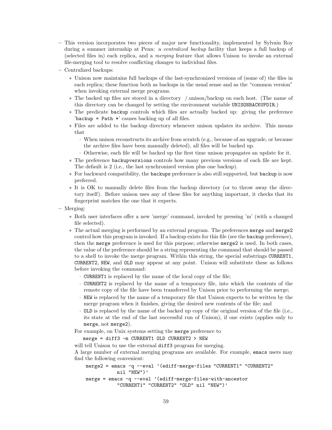- This version incorporates two pieces of major new functionality, implemented by Sylvain Roy during a summer internship at Penn: a *centralized backup* facility that keeps a full backup of (selected files in) each replica, and a merging feature that allows Unison to invoke an external file-merging tool to resolve conflicting changes to individual files.
- Centralized backups:
	- ∗ Unison now maintains full backups of the last-synchronized versions of (some of) the files in each replica; these function both as backups in the usual sense and as the "common version" when invoking external merge programs.
	- ∗ The backed up files are stored in a directory /.unison/backup on each host. (The name of this directory can be changed by setting the environment variable UNISONBACKUPDIR.)
	- ∗ The predicate backup controls which files are actually backed up: giving the preference 'backup = Path  $*$ ' causes backing up of all files.
	- ∗ Files are added to the backup directory whenever unison updates its archive. This means that
		- · When unison reconstructs its archive from scratch (e.g., because of an upgrade, or because the archive files have been manually deleted), all files will be backed up.
		- · Otherwise, each file will be backed up the first time unison propagates an update for it.
	- ∗ The preference backupversions controls how many previous versions of each file are kept. The default is 2 (i.e., the last synchronized version plus one backup).
	- ∗ For backward compatibility, the backups preference is also still supported, but backup is now preferred.
	- ∗ It is OK to manually delete files from the backup directory (or to throw away the directory itself). Before unison uses any of these files for anything important, it checks that its fingerprint matches the one that it expects.
- Merging:
	- ∗ Both user interfaces offer a new 'merge' command, invoked by pressing 'm' (with a changed file selected).
	- ∗ The actual merging is performed by an external program. The preferences merge and merge2 control how this program is invoked. If a backup exists for this file (see the backup preference), then the merge preference is used for this purpose; otherwise merge2 is used. In both cases, the value of the preference should be a string representing the command that should be passed to a shell to invoke the merge program. Within this string, the special substrings CURRENT1, CURRENT2, NEW, and OLD may appear at any point. Unison will substitute these as follows before invoking the command:
		- · CURRENT1 is replaced by the name of the local copy of the file;
		- · CURRENT2 is replaced by the name of a temporary file, into which the contents of the remote copy of the file have been transferred by Unison prior to performing the merge;
		- · NEW is replaced by the name of a temporary file that Unison expects to be written by the merge program when it finishes, giving the desired new contents of the file; and
		- · OLD is replaced by the name of the backed up copy of the original version of the file (i.e., its state at the end of the last successful run of Unison), if one exists (applies only to merge, not merge2).

For example, on Unix systems setting the merge preference to

```
merge = diff3 -m CURRENT1 OLD CURRENT2 > NEW
```
will tell Unison to use the external diff3 program for merging.

A large number of external merging programs are available. For example, emacs users may find the following convenient:

```
merge2 = emacs -q --eval '(ediff-merge-files "CURRENT1" "CURRENT2"
           nil "NEW")'
merge = emacs -q --eval '(ediff-merge-files-with-ancestor
           "CURRENT1" "CURRENT2" "OLD" nil "NEW")'
```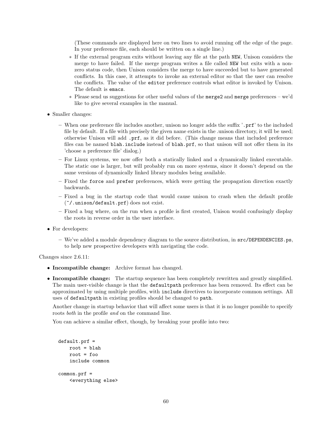(These commands are displayed here on two lines to avoid running off the edge of the page. In your preference file, each should be written on a single line.)

- ∗ If the external program exits without leaving any file at the path NEW, Unison considers the merge to have failed. If the merge program writes a file called NEW but exits with a nonzero status code, then Unison considers the merge to have succeeded but to have generated conflicts. In this case, it attempts to invoke an external editor so that the user can resolve the conflicts. The value of the editor preference controls what editor is invoked by Unison. The default is emacs.
- ∗ Please send us suggestions for other useful values of the merge2 and merge preferences we'd like to give several examples in the manual.
- Smaller changes:
	- When one preference file includes another, unison no longer adds the suffix '.prf' to the included file by default. If a file with precisely the given name exists in the .unison directory, it will be used; otherwise Unison will add .prf, as it did before. (This change means that included preference files can be named blah.include instead of blah.prf, so that unison will not offer them in its 'choose a preference file' dialog.)
	- For Linux systems, we now offer both a statically linked and a dynamically linked executable. The static one is larger, but will probably run on more systems, since it doesn't depend on the same versions of dynamically linked library modules being available.
	- Fixed the force and prefer preferences, which were getting the propagation direction exactly backwards.
	- Fixed a bug in the startup code that would cause unison to crash when the default profile (~/.unison/default.prf) does not exist.
	- Fixed a bug where, on the run when a profile is first created, Unison would confusingly display the roots in reverse order in the user interface.
- For developers:
	- We've added a module dependency diagram to the source distribution, in src/DEPENDENCIES.ps, to help new prospective developers with navigating the code.

Changes since 2.6.11:

- Incompatible change: Archive format has changed.
- Incompatible change: The startup sequence has been completely rewritten and greatly simplified. The main user-visible change is that the defaultpath preference has been removed. Its effect can be approximated by using multiple profiles, with include directives to incorporate common settings. All uses of defaultpath in existing profiles should be changed to path.

Another change in startup behavior that will affect some users is that it is no longer possible to specify roots both in the profile and on the command line.

You can achieve a similar effect, though, by breaking your profile into two:

```
default.prf =
    root = blah
    root = foo
    include common
common.prf =
    <everything else>
```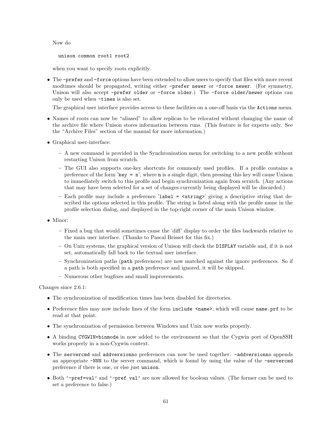Now do

unison common root1 root2

when you want to specify roots explicitly.

• The -prefer and -force options have been extended to allow users to specify that files with more recent modtimes should be propagated, writing either -prefer newer or -force newer. (For symmetry, Unison will also accept -prefer older or -force older.) The -force older/newer options can only be used when -times is also set.

The graphical user interface provides access to these facilities on a one-off basis via the Actions menu.

- Names of roots can now be "aliased" to allow replicas to be relocated without changing the name of the archive file where Unison stores information between runs. (This feature is for experts only. See the "Archive Files" section of the manual for more information.)
- Graphical user-interface:
	- A new command is provided in the Synchronization menu for switching to a new profile without restarting Unison from scratch.
	- The GUI also supports one-key shortcuts for commonly used profiles. If a profile contains a preference of the form 'key =  $n'$ , where n is a single digit, then pressing this key will cause Unison to immediately switch to this profile and begin synchronization again from scratch. (Any actions that may have been selected for a set of changes currently being displayed will be discarded.)
	- Each profile may include a preference 'label =  $\langle$ string>' giving a descriptive string that described the options selected in this profile. The string is listed along with the profile name in the profile selection dialog, and displayed in the top-right corner of the main Unison window.
- Minor:
	- Fixed a bug that would sometimes cause the 'diff' display to order the files backwards relative to the main user interface. (Thanks to Pascal Brisset for this fix.)
	- On Unix systems, the graphical version of Unison will check the DISPLAY variable and, if it is not set, automatically fall back to the textual user interface.
	- Synchronization paths (path preferences) are now matched against the ignore preferences. So if a path is both specified in a path preference and ignored, it will be skipped.
	- Numerous other bugfixes and small improvements.

Changes since 2.6.1:

- The synchronization of modification times has been disabled for directories.
- Preference files may now include lines of the form include  $\langle$ name>, which will cause name.prf to be read at that point.
- The synchronization of permission between Windows and Unix now works properly.
- A binding CYGWIN=binmode in now added to the environment so that the Cygwin port of OpenSSH works properly in a non-Cygwin context.
- The servercmd and addversionno preferences can now be used together: -addversionno appends an appropriate -NNN to the server command, which is found by using the value of the -servercmd preference if there is one, or else just unison.
- Both '-pref=val' and '-pref val' are now allowed for boolean values. (The former can be used to set a preference to false.)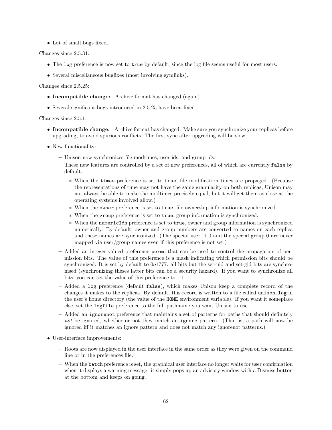• Lot of small bugs fixed.

Changes since 2.5.31:

- The log preference is now set to true by default, since the log file seems useful for most users.
- Several miscellaneous bugfixes (most involving symlinks).

Changes since 2.5.25:

- Incompatible change: Archive format has changed (again).
- Several significant bugs introduced in 2.5.25 have been fixed.

Changes since 2.5.1:

- Incompatible change: Archive format has changed. Make sure you synchronize your replicas before upgrading, to avoid spurious conflicts. The first sync after upgrading will be slow.
- New functionality:
	- Unison now synchronizes file modtimes, user-ids, and group-ids.

These new features are controlled by a set of new preferences, all of which are currently false by default.

- ∗ When the times preference is set to true, file modification times are propaged. (Because the representations of time may not have the same granularity on both replicas, Unison may not always be able to make the modtimes precisely equal, but it will get them as close as the operating systems involved allow.)
- ∗ When the owner preference is set to true, file ownership information is synchronized.
- ∗ When the group preference is set to true, group information is synchronized.
- ∗ When the numericIds preference is set to true, owner and group information is synchronized numerically. By default, owner and group numbers are converted to names on each replica and these names are synchronized. (The special user id 0 and the special group 0 are never mapped via user/group names even if this preference is not set.)
- Added an integer-valued preference perms that can be used to control the propagation of permission bits. The value of this preference is a mask indicating which permission bits should be synchronized. It is set by default to 0o1777: all bits but the set-uid and set-gid bits are synchronised (synchronizing theses latter bits can be a security hazard). If you want to synchronize all bits, you can set the value of this preference to  $-1$ .
- Added a log preference (default false), which makes Unison keep a complete record of the changes it makes to the replicas. By default, this record is written to a file called unison.log in the user's home directory (the value of the HOME environment variable). If you want it someplace else, set the logfile preference to the full pathname you want Unison to use.
- Added an ignorenot preference that maintains a set of patterns for paths that should definitely not be ignored, whether or not they match an ignore pattern. (That is, a path will now be ignored iff it matches an ignore pattern and does not match any ignorenot patterns.)
- User-interface improvements:
	- Roots are now displayed in the user interface in the same order as they were given on the command line or in the preferences file.
	- When the batch preference is set, the graphical user interface no longer waits for user confirmation when it displays a warning message: it simply pops up an advisory window with a Dismiss button at the bottom and keeps on going.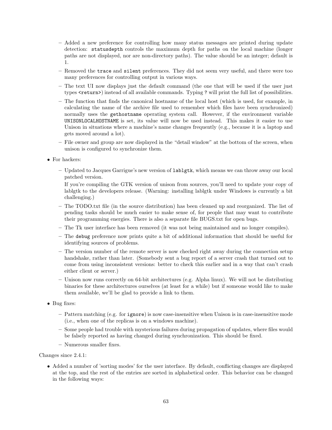- Added a new preference for controlling how many status messages are printed during update detection: statusdepth controls the maximum depth for paths on the local machine (longer paths are not displayed, nor are non-directory paths). The value should be an integer; default is 1.
- Removed the trace and silent preferences. They did not seem very useful, and there were too many preferences for controlling output in various ways.
- The text UI now displays just the default command (the one that will be used if the user just types <**return>**) instead of all available commands. Typing ? will print the full list of possibilities.
- The function that finds the canonical hostname of the local host (which is used, for example, in calculating the name of the archive file used to remember which files have been synchronized) normally uses the gethostname operating system call. However, if the environment variable UNISONLOCALHOSTNAME is set, its value will now be used instead. This makes it easier to use Unison in situations where a machine's name changes frequently (e.g., because it is a laptop and gets moved around a lot).
- File owner and group are now displayed in the "detail window" at the bottom of the screen, when unison is configured to synchronize them.
- For hackers:
	- Updated to Jacques Garrigue's new version of lablgtk, which means we can throw away our local patched version.

If you're compiling the GTK version of unison from sources, you'll need to update your copy of lablgtk to the developers release. (Warning: installing lablgtk under Windows is currently a bit challenging.)

- The TODO.txt file (in the source distribution) has been cleaned up and reorganized. The list of pending tasks should be much easier to make sense of, for people that may want to contribute their programming energies. There is also a separate file BUGS.txt for open bugs.
- The Tk user interface has been removed (it was not being maintained and no longer compiles).
- The debug preference now prints quite a bit of additional information that should be useful for identifying sources of problems.
- The version number of the remote server is now checked right away during the connection setup handshake, rather than later. (Somebody sent a bug report of a server crash that turned out to come from using inconsistent versions: better to check this earlier and in a way that can't crash either client or server.)
- Unison now runs correctly on 64-bit architectures (e.g. Alpha linux). We will not be distributing binaries for these architectures ourselves (at least for a while) but if someone would like to make them available, we'll be glad to provide a link to them.
- Bug fixes:
	- Pattern matching (e.g. for ignore) is now case-insensitive when Unison is in case-insensitive mode (i.e., when one of the replicas is on a windows machine).
	- Some people had trouble with mysterious failures during propagation of updates, where files would be falsely reported as having changed during synchronization. This should be fixed.
	- Numerous smaller fixes.

Changes since 2.4.1:

• Added a number of 'sorting modes' for the user interface. By default, conflicting changes are displayed at the top, and the rest of the entries are sorted in alphabetical order. This behavior can be changed in the following ways: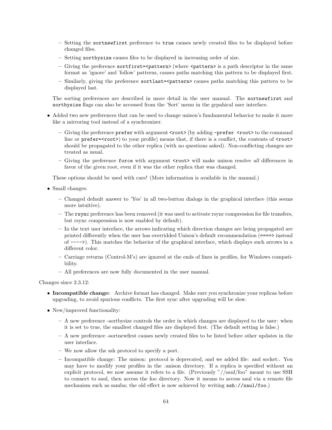- Setting the sortnewfirst preference to true causes newly created files to be displayed before changed files.
- Setting sortbysize causes files to be displayed in increasing order of size.
- Giving the preference sortfirst= $\epsilon$ pattern> (where  $\epsilon$ pattern> is a path descriptor in the same format as 'ignore' and 'follow' patterns, causes paths matching this pattern to be displayed first.
- Similarly, giving the preference sortlast=<pattern> causes paths matching this pattern to be displayed last.

The sorting preferences are described in more detail in the user manual. The sortnewfirst and sortbysize flags can also be accessed from the 'Sort' menu in the grpahical user interface.

- Added two new preferences that can be used to change unison's fundamental behavior to make it more like a mirroring tool instead of a synchronizer.
	- Giving the preference prefer with argument <root> (by adding -prefer <root> to the command line or  $prefer=\text{root}$  to your profile) means that, if there is a conflict, the contents of  $\text{root}$ should be propagated to the other replica (with no questions asked). Non-conflicting changes are treated as usual.
	- Giving the preference force with argument <root> will make unison resolve *all* differences in favor of the given root, even if it was the other replica that was changed.

These options should be used with care! (More information is available in the manual.)

- Small changes:
	- Changed default answer to 'Yes' in all two-button dialogs in the graphical interface (this seems more intuitive).
	- The rsync preference has been removed (it was used to activate rsync compression for file transfers, but rsync compression is now enabled by default).
	- In the text user interface, the arrows indicating which direction changes are being propagated are printed differently when the user has overridded Unison's default recommendation (====> instead of ---->). This matches the behavior of the graphical interface, which displays such arrows in a different color.
	- Carriage returns (Control-M's) are ignored at the ends of lines in profiles, for Windows compatibility.
	- All preferences are now fully documented in the user manual.

Changes since 2.3.12:

- Incompatible change: Archive format has changed. Make sure you synchronize your replicas before upgrading, to avoid spurious conflicts. The first sync after upgrading will be slow.
- New/improved functionality:
	- A new preference -sortbysize controls the order in which changes are displayed to the user: when it is set to true, the smallest changed files are displayed first. (The default setting is false.)
	- A new preference -sortnewfirst causes newly created files to be listed before other updates in the user interface.
	- We now allow the ssh protocol to specify a port.
	- Incompatible change: The unison: protocol is deprecated, and we added file: and socket:. You may have to modify your profiles in the .unison directory. If a replica is specified without an explicit protocol, we now assume it refers to a file. (Previously "//saul/foo" meant to use SSH to connect to saul, then access the foo directory. Now it means to access saul via a remote file mechanism such as samba; the old effect is now achieved by writing  $\text{ssh}$ ://saul/foo.)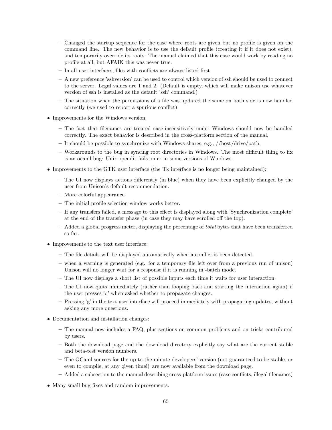- Changed the startup sequence for the case where roots are given but no profile is given on the command line. The new behavior is to use the default profile (creating it if it does not exist), and temporarily override its roots. The manual claimed that this case would work by reading no profile at all, but AFAIK this was never true.
- In all user interfaces, files with conflicts are always listed first
- A new preference 'sshversion' can be used to control which version of ssh should be used to connect to the server. Legal values are 1 and 2. (Default is empty, which will make unison use whatever version of ssh is installed as the default 'ssh' command.)
- The situation when the permissions of a file was updated the same on both side is now handled correctly (we used to report a spurious conflict)
- Improvements for the Windows version:
	- The fact that filenames are treated case-insensitively under Windows should now be handled correctly. The exact behavior is described in the cross-platform section of the manual.
	- It should be possible to synchronize with Windows shares, e.g., //host/drive/path.
	- Workarounds to the bug in syncing root directories in Windows. The most difficult thing to fix is an ocaml bug: Unix.opendir fails on c: in some versions of Windows.
- Improvements to the GTK user interface (the Tk interface is no longer being maintained):
	- The UI now displays actions differently (in blue) when they have been explicitly changed by the user from Unison's default recommendation.
	- More colorful appearance.
	- The initial profile selection window works better.
	- If any transfers failed, a message to this effect is displayed along with 'Synchronization complete' at the end of the transfer phase (in case they may have scrolled off the top).
	- $-$  Added a global progress meter, displaying the percentage of *total* bytes that have been transferred so far.
- Improvements to the text user interface:
	- The file details will be displayed automatically when a conflict is been detected.
	- when a warning is generated (e.g. for a temporary file left over from a previous run of unison) Unison will no longer wait for a response if it is running in -batch mode.
	- The UI now displays a short list of possible inputs each time it waits for user interaction.
	- The UI now quits immediately (rather than looping back and starting the interaction again) if the user presses 'q' when asked whether to propagate changes.
	- Pressing 'g' in the text user interface will proceed immediately with propagating updates, without asking any more questions.
- Documentation and installation changes:
	- The manual now includes a FAQ, plus sections on common problems and on tricks contributed by users.
	- Both the download page and the download directory explicitly say what are the current stable and beta-test version numbers.
	- The OCaml sources for the up-to-the-minute developers' version (not guaranteed to be stable, or even to compile, at any given time!) are now available from the download page.
	- Added a subsection to the manual describing cross-platform issues (case conflicts, illegal filenames)
- Many small bug fixes and random improvements.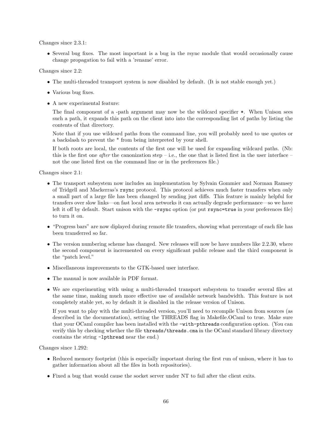Changes since 2.3.1:

• Several bug fixes. The most important is a bug in the rsync module that would occasionally cause change propagation to fail with a 'rename' error.

Changes since 2.2:

- The multi-threaded transport system is now disabled by default. (It is not stable enough yet.)
- Various bug fixes.
- A new experimental feature:

The final component of a -path argument may now be the wildcard specifier  $\ast$ . When Unison sees such a path, it expands this path on the client into into the corresponding list of paths by listing the contents of that directory.

Note that if you use wildcard paths from the command line, you will probably need to use quotes or a backslash to prevent the \* from being interpreted by your shell.

If both roots are local, the contents of the first one will be used for expanding wildcard paths. (Nb: this is the first one *after* the canonization step – i.e., the one that is listed first in the user interface – not the one listed first on the command line or in the preferences file.)

Changes since 2.1:

- The transport subsystem now includes an implementation by Sylvain Gommier and Norman Ramsey of Tridgell and Mackerras's rsync protocol. This protocol achieves much faster transfers when only a small part of a large file has been changed by sending just diffs. This feature is mainly helpful for transfers over slow links—on fast local area networks it can actually degrade performance—so we have left it off by default. Start unison with the  $\text{-rsync}$  option (or put rsync=true in your preferences file) to turn it on.
- "Progress bars" are now diplayed during remote file transfers, showing what percentage of each file has been transferred so far.
- $\bullet$  The version numbering scheme has changed. New releases will now be have numbers like 2.2.30, where the second component is incremented on every significant public release and the third component is the "patch level."
- Miscellaneous improvements to the GTK-based user interface.
- The manual is now available in PDF format.
- We are experimenting with using a multi-threaded transport subsystem to transfer several files at the same time, making much more effective use of available network bandwidth. This feature is not completely stable yet, so by default it is disabled in the release version of Unison.

If you want to play with the multi-threaded version, you'll need to recompile Unison from sources (as described in the documentation), setting the THREADS flag in Makefile.OCaml to true. Make sure that your OCaml compiler has been installed with the -with-pthreads configuration option. (You can verify this by checking whether the file threads/threads.cma in the OCaml standard library directory contains the string -lpthread near the end.)

Changes since 1.292:

- Reduced memory footprint (this is especially important during the first run of unison, where it has to gather information about all the files in both repositories).
- Fixed a bug that would cause the socket server under NT to fail after the client exits.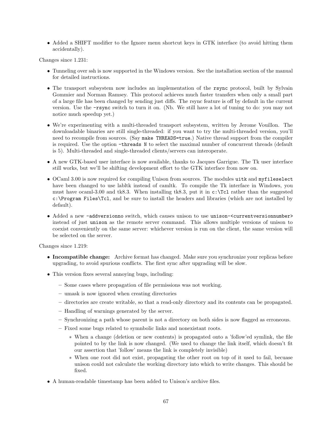• Added a SHIFT modifier to the Ignore menu shortcut keys in GTK interface (to avoid hitting them accidentally).

Changes since 1.231:

- Tunneling over ssh is now supported in the Windows version. See the installation section of the manual for detailed instructions.
- The transport subsystem now includes an implementation of the rsync protocol, built by Sylvain Gommier and Norman Ramsey. This protocol achieves much faster transfers when only a small part of a large file has been changed by sending just diffs. The rsync feature is off by default in the current version. Use the -rsync switch to turn it on. (Nb. We still have a lot of tuning to do: you may not notice much speedup yet.)
- We're experimenting with a multi-threaded transport subsystem, written by Jerome Vouillon. The downloadable binaries are still single-threaded: if you want to try the multi-threaded version, you'll need to recompile from sources. (Say make THREADS=true.) Native thread support from the compiler is required. Use the option -threads N to select the maximal number of concurrent threads (default is 5). Multi-threaded and single-threaded clients/servers can interoperate.
- A new GTK-based user interface is now available, thanks to Jacques Garrigue. The Tk user interface still works, but we'll be shifting development effort to the GTK interface from now on.
- OCaml 3.00 is now required for compiling Unison from sources. The modules uitk and myfileselect have been changed to use labltk instead of camltk. To compile the Tk interface in Windows, you must have ocaml-3.00 and tk8.3. When installing tk8.3, put it in  $c:\T{cl}$  rather than the suggested c:\Program Files\Tcl, and be sure to install the headers and libraries (which are not installed by default).
- Added a new -addversionno switch, which causes unison to use unison-<currentversionnumber> instead of just unison as the remote server command. This allows multiple versions of unison to coexist conveniently on the same server: whichever version is run on the client, the same version will be selected on the server.

Changes since 1.219:

- Incompatible change: Archive format has changed. Make sure you synchronize your replicas before upgrading, to avoid spurious conflicts. The first sync after upgrading will be slow.
- This version fixes several annoying bugs, including:
	- Some cases where propagation of file permissions was not working.
	- umask is now ignored when creating directories
	- directories are create writable, so that a read-only directory and its contents can be propagated.
	- Handling of warnings generated by the server.
	- Synchronizing a path whose parent is not a directory on both sides is now flagged as erroneous.
	- Fixed some bugs related to symnbolic links and nonexistant roots.
		- ∗ When a change (deletion or new contents) is propagated onto a 'follow'ed symlink, the file pointed to by the link is now changed. (We used to change the link itself, which doesn't fit our assertion that 'follow' means the link is completely invisible)
		- ∗ When one root did not exist, propagating the other root on top of it used to fail, becuase unison could not calculate the working directory into which to write changes. This should be fixed.
- A human-readable timestamp has been added to Unison's archive files.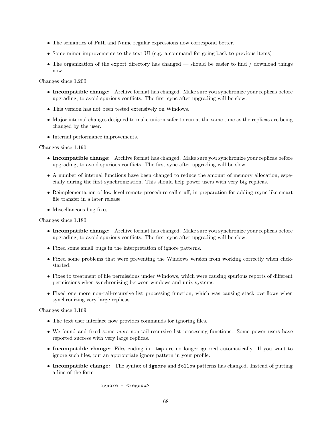- The semantics of Path and Name regular expressions now correspond better.
- Some minor improvements to the text UI (e.g. a command for going back to previous items)
- The organization of the export directory has changed should be easier to find / download things now.

Changes since 1.200:

- Incompatible change: Archive format has changed. Make sure you synchronize your replicas before upgrading, to avoid spurious conflicts. The first sync after upgrading will be slow.
- This version has not been tested extensively on Windows.
- Major internal changes designed to make unison safer to run at the same time as the replicas are being changed by the user.
- Internal performance improvements.

Changes since 1.190:

- Incompatible change: Archive format has changed. Make sure you synchronize your replicas before upgrading, to avoid spurious conflicts. The first sync after upgrading will be slow.
- A number of internal functions have been changed to reduce the amount of memory allocation, especially during the first synchronization. This should help power users with very big replicas.
- Reimplementation of low-level remote procedure call stuff, in preparation for adding rsync-like smart file transfer in a later release.
- Miscellaneous bug fixes.

Changes since 1.180:

- Incompatible change: Archive format has changed. Make sure you synchronize your replicas before upgrading, to avoid spurious conflicts. The first sync after upgrading will be slow.
- Fixed some small bugs in the interpretation of ignore patterns.
- Fixed some problems that were preventing the Windows version from working correctly when clickstarted.
- Fixes to treatment of file permissions under Windows, which were causing spurious reports of different permissions when synchronizing between windows and unix systems.
- Fixed one more non-tail-recursive list processing function, which was causing stack overflows when synchronizing very large replicas.

Changes since 1.169:

- The text user interface now provides commands for ignoring files.
- We found and fixed some *more* non-tail-recursive list processing functions. Some power users have reported success with very large replicas.
- Incompatible change: Files ending in .tmp are no longer ignored automatically. If you want to ignore such files, put an appropriate ignore pattern in your profile.
- Incompatible change: The syntax of ignore and follow patterns has changed. Instead of putting a line of the form

ignore = <regexp>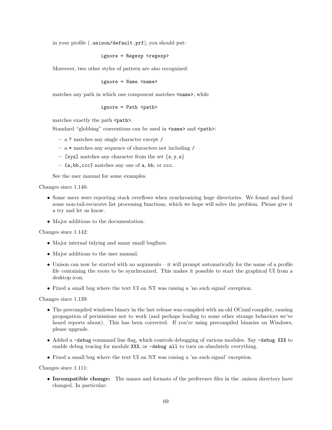in your profile (.unison/default.prf), you should put:

ignore = Regexp <regexp>

Moreover, two other styles of pattern are also recognized:

ignore = Name <name>

matches any path in which one component matches  $\langle$  name>, while

ignore = Path <path>

matches exactly the path <path>.

Standard "globbing" conventions can be used in  $\langle$ name> and  $\langle$ path>:

– a ? matches any single character except /

- a \* matches any sequence of characters not including /
- [xyz] matches any character from the set  $\{x, y, z\}$
- {a,bb,ccc} matches any one of a, bb, or ccc.

See the user manual for some examples.

Changes since 1.146:

- Some users were reporting stack overflows when synchronizing huge directories. We found and fixed some non-tail-recursive list processing functions, which we hope will solve the problem. Please give it a try and let us know.
- Major additions to the documentation.

Changes since 1.142:

- Major internal tidying and many small bugfixes.
- Major additions to the user manual.
- Unison can now be started with no arguments it will prompt automatically for the name of a profile file containing the roots to be synchronized. This makes it possible to start the graphical UI from a desktop icon.
- Fixed a small bug where the text UI on NT was raising a 'no such signal' exception.

Changes since 1.139:

- The precompiled windows binary in the last release was compiled with an old OCaml compiler, causing propagation of permissions not to work (and perhaps leading to some other strange behaviors we've heard reports about). This has been corrected. If you're using precompiled binaries on Windows, please upgrade.
- Added a -debug command line flag, which controls debugging of various modules. Say -debug XXX to enable debug tracing for module XXX, or -debug all to turn on absolutely everything.
- Fixed a small bug where the text UI on NT was raising a 'no such signal' exception.

Changes since 1.111:

• Incompatible change: The names and formats of the preference files in the unison directory have changed. In particular: